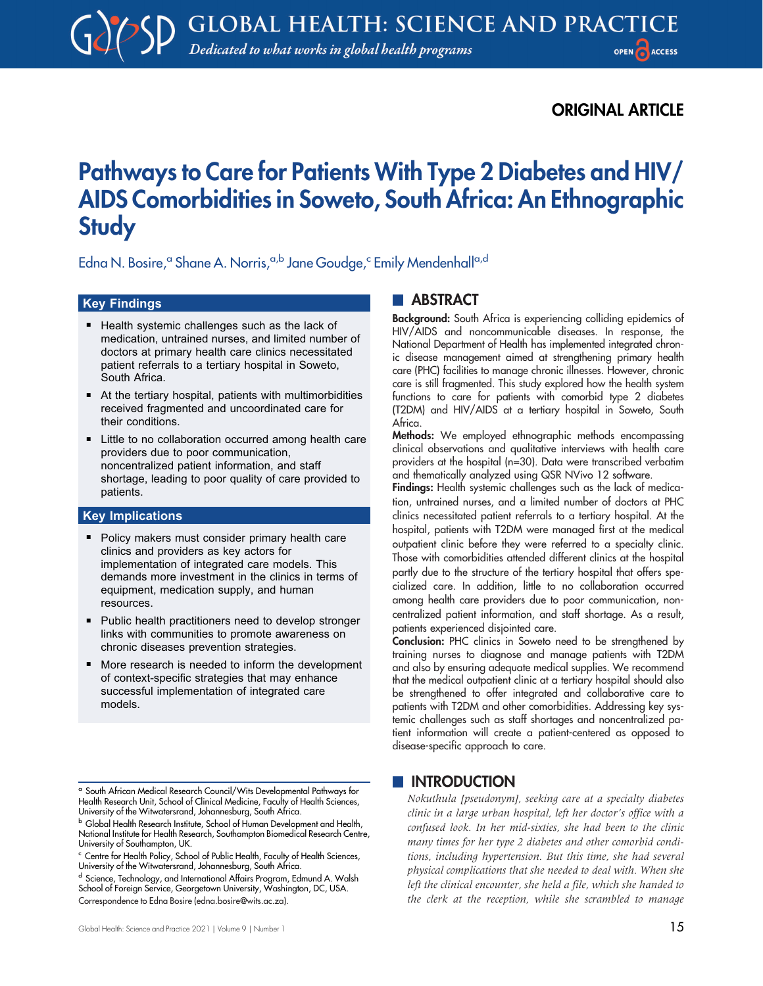# ORIGINAL ARTICLE

# Pathways to Care for Patients With Type 2 Diabetes and HIV/ AIDS Comorbidities in Soweto, South Africa: An Ethnographic **Study**

Edna N. Bosire,<sup>a</sup> Shane A. Norris,<sup>a,b</sup> Jane Goudge,<sup>c</sup> Emily Mendenhall<sup>a,d</sup>

## Key Findings

- Health systemic challenges such as the lack of medication, untrained nurses, and limited number of doctors at primary health care clinics necessitated patient referrals to a tertiary hospital in Soweto, South Africa.
- At the tertiary hospital, patients with multimorbidities received fragmented and uncoordinated care for their conditions.
- Little to no collaboration occurred among health care providers due to poor communication, noncentralized patient information, and staff shortage, leading to poor quality of care provided to patients.

#### Key Implications

- Policy makers must consider primary health care clinics and providers as key actors for implementation of integrated care models. This demands more investment in the clinics in terms of equipment, medication supply, and human resources.
- Public health practitioners need to develop stronger links with communities to promote awareness on chronic diseases prevention strategies.
- More research is needed to inform the development of context-specific strategies that may enhance successful implementation of integrated care models.

<sup>d</sup> Science, Technology, and International Affairs Program, Edmund A. Walsh School of Foreign Service, Georgetown University, Washington, DC, USA. Correspondence to Edna Bosire ([edna.bosire@wits.ac.za\)](mailto:edna.bosire@wits.ac.za).

# **ABSTRACT**

Background: South Africa is experiencing colliding epidemics of HIV/AIDS and noncommunicable diseases. In response, the National Department of Health has implemented integrated chronic disease management aimed at strengthening primary health care (PHC) facilities to manage chronic illnesses. However, chronic care is still fragmented. This study explored how the health system functions to care for patients with comorbid type 2 diabetes (T2DM) and HIV/AIDS at a tertiary hospital in Soweto, South Africa.

Methods: We employed ethnographic methods encompassing clinical observations and qualitative interviews with health care providers at the hospital (n=30). Data were transcribed verbatim and thematically analyzed using QSR NVivo 12 software.

Findings: Health systemic challenges such as the lack of medication, untrained nurses, and a limited number of doctors at PHC clinics necessitated patient referrals to a tertiary hospital. At the hospital, patients with T2DM were managed first at the medical outpatient clinic before they were referred to a specialty clinic. Those with comorbidities attended different clinics at the hospital partly due to the structure of the tertiary hospital that offers specialized care. In addition, little to no collaboration occurred among health care providers due to poor communication, noncentralized patient information, and staff shortage. As a result, patients experienced disjointed care.

Conclusion: PHC clinics in Soweto need to be strengthened by training nurses to diagnose and manage patients with T2DM and also by ensuring adequate medical supplies. We recommend that the medical outpatient clinic at a tertiary hospital should also be strengthened to offer integrated and collaborative care to patients with T2DM and other comorbidities. Addressing key systemic challenges such as staff shortages and noncentralized patient information will create a patient-centered as opposed to disease-specific approach to care.

# **INTRODUCTION**

Nokuthula [pseudonym], seeking care at a specialty diabetes clinic in a large urban hospital, left her doctor's office with a confused look. In her mid-sixties, she had been to the clinic many times for her type 2 diabetes and other comorbid conditions, including hypertension. But this time, she had several physical complications that she needed to deal with. When she left the clinical encounter, she held a file, which she handed to the clerk at the reception, while she scrambled to manage

<sup>a</sup> South African Medical Research Council/Wits Developmental Pathways for Health Research Unit, School of Clinical Medicine, Faculty of Health Sciences, University of the Witwatersrand, Johannesburg, South Africa.

**b Global Health Research Institute, School of Human Development and Health,** National Institute for Health Research, Southampton Biomedical Research Centre, University of Southampton, UK.

<sup>c</sup> Centre for Health Policy, School of Public Health, Faculty of Health Sciences, University of the Witwatersrand, Johannesburg, South Africa.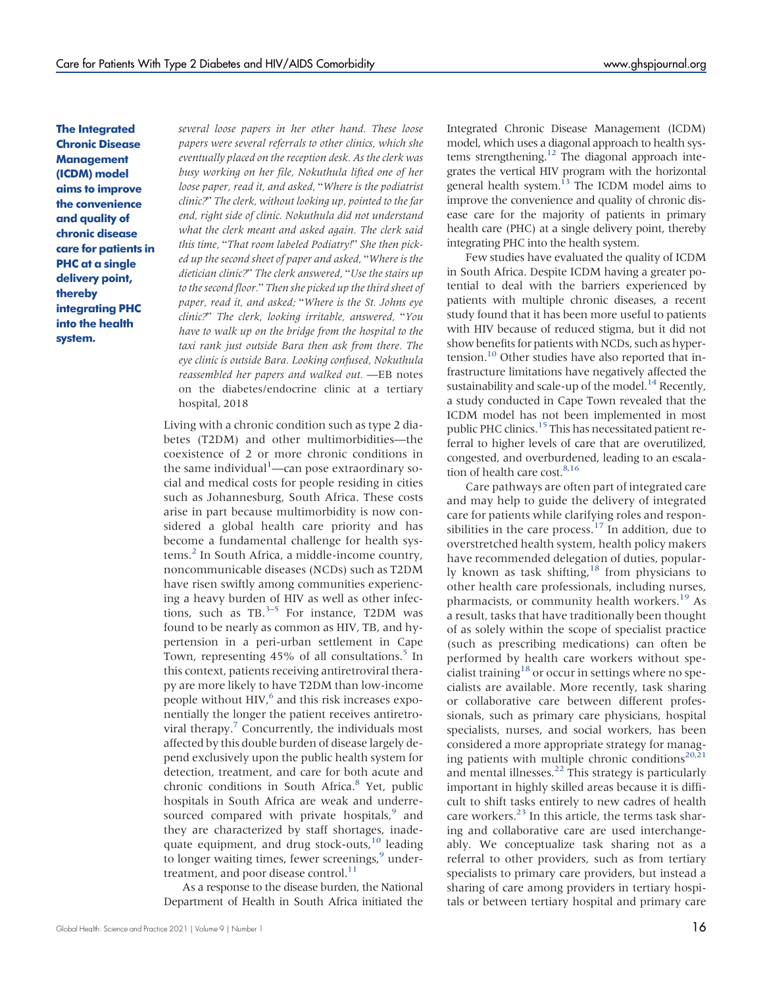The Integrated Chronic Disease **Management** (ICDM) model aims to improve the convenience and quality of chronic disease care for patients in PHC at a single delivery point, thereby integrating PHC into the health system.

several loose papers in her other hand. These loose papers were several referrals to other clinics, which she eventually placed on the reception desk. As the clerk was busy working on her file, Nokuthula lifted one of her loose paper, read it, and asked, "Where is the podiatrist clinic?" The clerk, without looking up, pointed to the far end, right side of clinic. Nokuthula did not understand what the clerk meant and asked again. The clerk said this time, "That room labeled Podiatry!" She then picked up the second sheet of paper and asked, "Where is the dietician clinic?" The clerk answered, "Use the stairs up to the second floor." Then she picked up the third sheet of paper, read it, and asked; "Where is the St. Johns eye clinic?" The clerk, looking irritable, answered, "You have to walk up on the bridge from the hospital to the taxi rank just outside Bara then ask from there. The eye clinic is outside Bara. Looking confused, Nokuthula reassembled her papers and walked out. —EB notes on the diabetes/endocrine clinic at a tertiary hospital, 2018

Living with a chronic condition such as type 2 diabetes (T2DM) and other multimorbidities—the coexistence of 2 or more chronic conditions in the same individual<sup>1</sup>—can pose extraordinary social and medical costs for people residing in cities such as Johannesburg, South Africa. These costs arise in part because multimorbidity is now considered a global health care priority and has become a fundamental challenge for health systems[.2](#page-13-0) In South Africa, a middle-income country, noncommunicable diseases (NCDs) such as T2DM have risen swiftly among communities experiencing a heavy burden of HIV as well as other infections, such as TB. $3-5$  $3-5$  $3-5$  For instance, T2DM was found to be nearly as common as HIV, TB, and hypertension in a peri-urban settlement in Cape Town, representing 45% of all consultations.<sup>5</sup> In this context, patients receiving antiretroviral therapy are more likely to have T2DM than low-income people without HIV, $^6$  $^6$  and this risk increases exponentially the longer the patient receives antiretroviral therapy. $\frac{7}{7}$  Concurrently, the individuals most affected by this double burden of disease largely depend exclusively upon the public health system for detection, treatment, and care for both acute and chronic conditions in South Africa. $8$  Yet, public hospitals in South Africa are weak and underresourced compared with private hospitals,<sup>9</sup> and they are characterized by staff shortages, inadequate equipment, and drug stock-outs,<sup>10</sup> leading to longer waiting times, fewer screenings,<sup>9</sup> undertreatment, and poor disease control.<sup>11</sup>

As a response to the disease burden, the National Department of Health in South Africa initiated the Integrated Chronic Disease Management (ICDM) model, which uses a diagonal approach to health systems strengthening.<sup>12</sup> The diagonal approach integrates the vertical HIV program with the horizontal general health system. $^{13}$  The ICDM model aims to improve the convenience and quality of chronic disease care for the majority of patients in primary health care (PHC) at a single delivery point, thereby integrating PHC into the health system.

Few studies have evaluated the quality of ICDM in South Africa. Despite ICDM having a greater potential to deal with the barriers experienced by patients with multiple chronic diseases, a recent study found that it has been more useful to patients with HIV because of reduced stigma, but it did not show benefits for patients with NCDs, such as hypertension.<sup>10</sup> Other studies have also reported that infrastructure limitations have negatively affected the sustainability and scale-up of the model.<sup>[14](#page-13-11)</sup> Recently, a study conducted in Cape Town revealed that the ICDM model has not been implemented in most public PHC clinics.<sup>[15](#page-13-12)</sup> This has necessitated patient referral to higher levels of care that are overutilized, congested, and overburdened, leading to an escala-tion of health care cost.<sup>8[,16](#page-14-0)</sup>

Care pathways are often part of integrated care and may help to guide the delivery of integrated care for patients while clarifying roles and responsibilities in the care process. $17$  In addition, due to overstretched health system, health policy makers have recommended delegation of duties, popularly known as task shifting, $18$  from physicians to other health care professionals, including nurses, pharmacists, or community health workers.<sup>[19](#page-14-3)</sup> As a result, tasks that have traditionally been thought of as solely within the scope of specialist practice (such as prescribing medications) can often be performed by health care workers without spe-cialist training<sup>[18](#page-14-2)</sup> or occur in settings where no specialists are available. More recently, task sharing or collaborative care between different professionals, such as primary care physicians, hospital specialists, nurses, and social workers, has been considered a more appropriate strategy for manag-ing patients with multiple chronic conditions<sup>20,[21](#page-14-5)</sup> and mental illnesses. $^{22}$  This strategy is particularly important in highly skilled areas because it is difficult to shift tasks entirely to new cadres of health care workers.<sup>23</sup> In this article, the terms task sharing and collaborative care are used interchangeably. We conceptualize task sharing not as a referral to other providers, such as from tertiary specialists to primary care providers, but instead a sharing of care among providers in tertiary hospitals or between tertiary hospital and primary care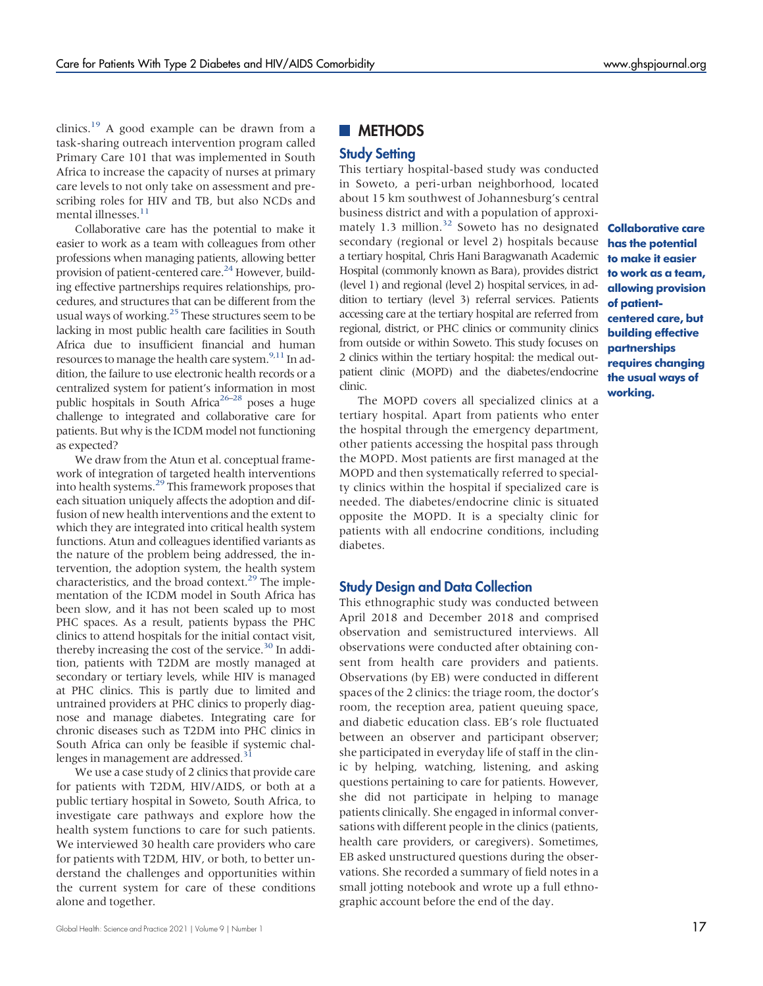clinics.<sup>[19](#page-14-3)</sup> A good example can be drawn from a task-sharing outreach intervention program called Primary Care 101 that was implemented in South Africa to increase the capacity of nurses at primary care levels to not only take on assessment and prescribing roles for HIV and TB, but also NCDs and mental illnesses.<sup>11</sup>

Collaborative care has the potential to make it easier to work as a team with colleagues from other professions when managing patients, allowing better provision of patient-centered care.<sup>[24](#page-14-8)</sup> However, building effective partnerships requires relationships, procedures, and structures that can be different from the usual ways of working. $^{25}$  These structures seem to be lacking in most public health care facilities in South Africa due to insufficient financial and human resources to manage the health care system. $9,11$  $9,11$  In addition, the failure to use electronic health records or a centralized system for patient's information in most public hospitals in South Africa<sup>26–[28](#page-14-11)</sup> poses a huge challenge to integrated and collaborative care for patients. But why is the ICDM model not functioning as expected?

We draw from the Atun et al. conceptual framework of integration of targeted health interventions into health systems.[29](#page-14-12) This framework proposes that each situation uniquely affects the adoption and diffusion of new health interventions and the extent to which they are integrated into critical health system functions. Atun and colleagues identified variants as the nature of the problem being addressed, the intervention, the adoption system, the health system characteristics, and the broad context. $^{29}$  $^{29}$  $^{29}$  The implementation of the ICDM model in South Africa has been slow, and it has not been scaled up to most PHC spaces. As a result, patients bypass the PHC clinics to attend hospitals for the initial contact visit, thereby increasing the cost of the service.<sup>[30](#page-14-13)</sup> In addition, patients with T2DM are mostly managed at secondary or tertiary levels, while HIV is managed at PHC clinics. This is partly due to limited and untrained providers at PHC clinics to properly diagnose and manage diabetes. Integrating care for chronic diseases such as T2DM into PHC clinics in South Africa can only be feasible if systemic challenges in management are addressed.<sup>3</sup>

We use a case study of 2 clinics that provide care for patients with T2DM, HIV/AIDS, or both at a public tertiary hospital in Soweto, South Africa, to investigate care pathways and explore how the health system functions to care for such patients. We interviewed 30 health care providers who care for patients with T2DM, HIV, or both, to better understand the challenges and opportunities within the current system for care of these conditions alone and together.

# **METHODS**

### Study Setting

This tertiary hospital-based study was conducted in Soweto, a peri-urban neighborhood, located about 15 km southwest of Johannesburg's central business district and with a population of approximately 1.3 million.<sup>32</sup> Soweto has no designated **Collaborative care** secondary (regional or level 2) hospitals because a tertiary hospital, Chris Hani Baragwanath Academic Hospital (commonly known as Bara), provides district (level 1) and regional (level 2) hospital services, in addition to tertiary (level 3) referral services. Patients accessing care at the tertiary hospital are referred from regional, district, or PHC clinics or community clinics from outside or within Soweto. This study focuses on 2 clinics within the tertiary hospital: the medical outpatient clinic (MOPD) and the diabetes/endocrine clinic.

The MOPD covers all specialized clinics at a tertiary hospital. Apart from patients who enter the hospital through the emergency department, other patients accessing the hospital pass through the MOPD. Most patients are first managed at the MOPD and then systematically referred to specialty clinics within the hospital if specialized care is needed. The diabetes/endocrine clinic is situated opposite the MOPD. It is a specialty clinic for patients with all endocrine conditions, including diabetes.

#### Study Design and Data Collection

This ethnographic study was conducted between April 2018 and December 2018 and comprised observation and semistructured interviews. All observations were conducted after obtaining consent from health care providers and patients. Observations (by EB) were conducted in different spaces of the 2 clinics: the triage room, the doctor's room, the reception area, patient queuing space, and diabetic education class. EB's role fluctuated between an observer and participant observer; she participated in everyday life of staff in the clinic by helping, watching, listening, and asking questions pertaining to care for patients. However, she did not participate in helping to manage patients clinically. She engaged in informal conversations with different people in the clinics (patients, health care providers, or caregivers). Sometimes, EB asked unstructured questions during the observations. She recorded a summary of field notes in a small jotting notebook and wrote up a full ethnographic account before the end of the day.

has the potential to make it easier to work as a team, allowing provision of patientcentered care, but building effective partnerships requires changing the usual ways of working.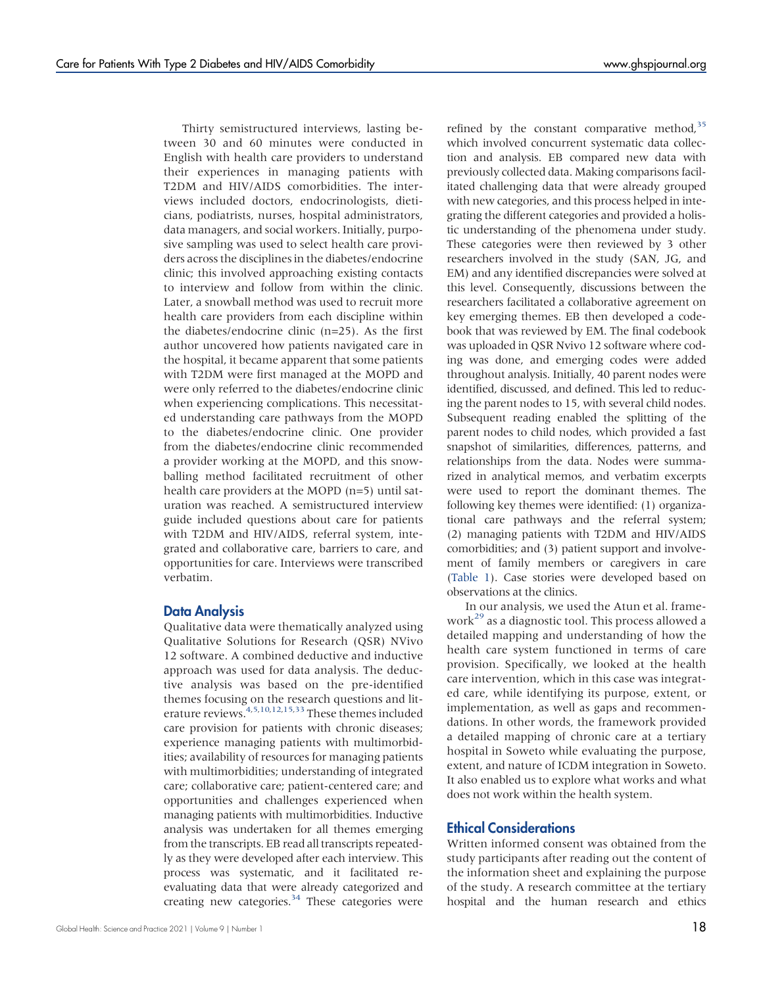Thirty semistructured interviews, lasting between 30 and 60 minutes were conducted in English with health care providers to understand their experiences in managing patients with T2DM and HIV/AIDS comorbidities. The interviews included doctors, endocrinologists, dieticians, podiatrists, nurses, hospital administrators, data managers, and social workers. Initially, purposive sampling was used to select health care providers across the disciplines in the diabetes/endocrine clinic; this involved approaching existing contacts to interview and follow from within the clinic. Later, a snowball method was used to recruit more health care providers from each discipline within the diabetes/endocrine clinic (n=25). As the first author uncovered how patients navigated care in the hospital, it became apparent that some patients with T2DM were first managed at the MOPD and were only referred to the diabetes/endocrine clinic when experiencing complications. This necessitated understanding care pathways from the MOPD to the diabetes/endocrine clinic. One provider from the diabetes/endocrine clinic recommended a provider working at the MOPD, and this snowballing method facilitated recruitment of other health care providers at the MOPD (n=5) until saturation was reached. A semistructured interview guide included questions about care for patients with T2DM and HIV/AIDS, referral system, integrated and collaborative care, barriers to care, and opportunities for care. Interviews were transcribed verbatim.

#### Data Analysis

Qualitative data were thematically analyzed using Qualitative Solutions for Research (QSR) NVivo 12 software. A combined deductive and inductive approach was used for data analysis. The deductive analysis was based on the pre-identified themes focusing on the research questions and lit-erature reviews.<sup>4[,5,](#page-13-2)[10](#page-13-7)[,12](#page-13-9)[,15](#page-13-12)[,33](#page-14-16)</sup> These themes included care provision for patients with chronic diseases; experience managing patients with multimorbidities; availability of resources for managing patients with multimorbidities; understanding of integrated care; collaborative care; patient-centered care; and opportunities and challenges experienced when managing patients with multimorbidities. Inductive analysis was undertaken for all themes emerging from the transcripts. EB read all transcripts repeatedly as they were developed after each interview. This process was systematic, and it facilitated reevaluating data that were already categorized and creating new categories.<sup>[34](#page-14-17)</sup> These categories were

refined by the constant comparative method,  $35$ which involved concurrent systematic data collection and analysis. EB compared new data with previously collected data. Making comparisons facilitated challenging data that were already grouped with new categories, and this process helped in integrating the different categories and provided a holistic understanding of the phenomena under study. These categories were then reviewed by 3 other researchers involved in the study (SAN, JG, and EM) and any identified discrepancies were solved at this level. Consequently, discussions between the researchers facilitated a collaborative agreement on key emerging themes. EB then developed a codebook that was reviewed by EM. The final codebook was uploaded in QSR Nvivo 12 software where coding was done, and emerging codes were added throughout analysis. Initially, 40 parent nodes were identified, discussed, and defined. This led to reducing the parent nodes to 15, with several child nodes. Subsequent reading enabled the splitting of the parent nodes to child nodes, which provided a fast snapshot of similarities, differences, patterns, and relationships from the data. Nodes were summarized in analytical memos, and verbatim excerpts were used to report the dominant themes. The following key themes were identified: (1) organizational care pathways and the referral system; (2) managing patients with T2DM and HIV/AIDS comorbidities; and (3) patient support and involvement of family members or caregivers in care [\(Table 1\)](#page-4-0). Case stories were developed based on observations at the clinics.

In our analysis, we used the Atun et al. frame-work<sup>[29](#page-14-12)</sup> as a diagnostic tool. This process allowed a detailed mapping and understanding of how the health care system functioned in terms of care provision. Specifically, we looked at the health care intervention, which in this case was integrated care, while identifying its purpose, extent, or implementation, as well as gaps and recommendations. In other words, the framework provided a detailed mapping of chronic care at a tertiary hospital in Soweto while evaluating the purpose, extent, and nature of ICDM integration in Soweto. It also enabled us to explore what works and what does not work within the health system.

# Ethical Considerations

Written informed consent was obtained from the study participants after reading out the content of the information sheet and explaining the purpose of the study. A research committee at the tertiary hospital and the human research and ethics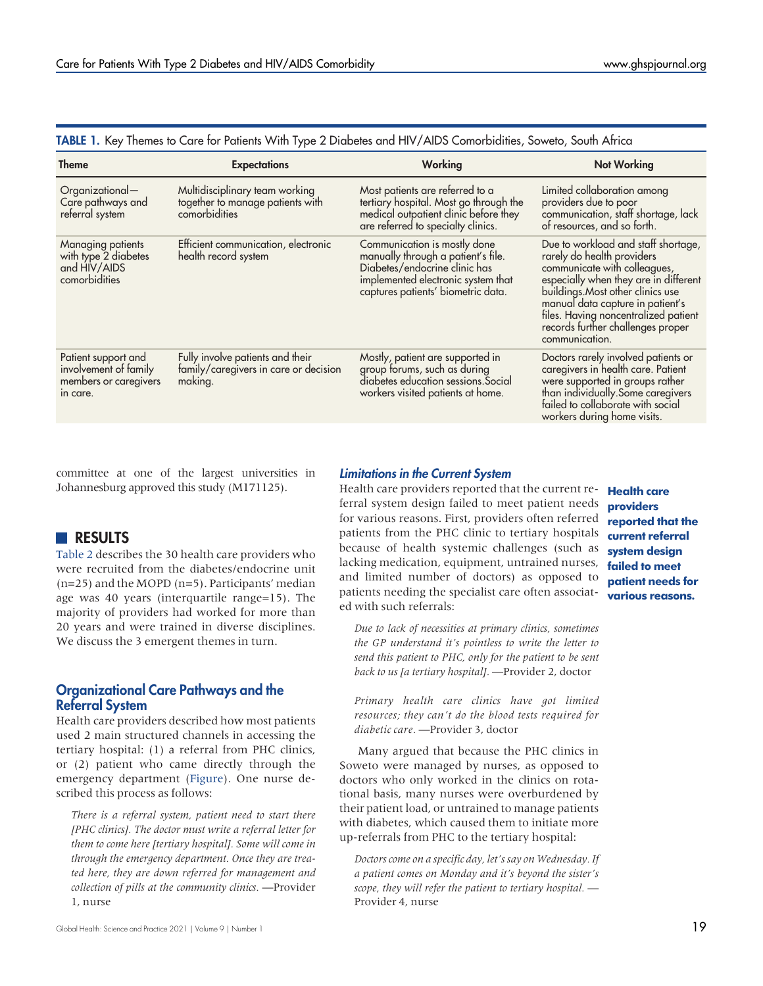| <b>Theme</b>                                                                      | <b>Expectations</b>                                                                  | Working                                                                                                                                                                         | <b>Not Working</b>                                                                                                                                                                                                                                                                                                 |
|-----------------------------------------------------------------------------------|--------------------------------------------------------------------------------------|---------------------------------------------------------------------------------------------------------------------------------------------------------------------------------|--------------------------------------------------------------------------------------------------------------------------------------------------------------------------------------------------------------------------------------------------------------------------------------------------------------------|
| Organizational-<br>Care pathways and<br>referral system                           | Multidisciplinary team working<br>together to manage patients with<br>comorbidities  | Most patients are referred to a<br>tertiary hospital. Most go through the<br>medical outpatient clinic before they<br>are referred to specialty clinics.                        | Limited collaboration among<br>providers due to poor<br>communication, staff shortage, lack<br>of resources, and so forth.                                                                                                                                                                                         |
| Managing patients<br>with type 2 diabetes<br>and HIV/AIDS<br>comorbidities        | Efficient communication, electronic<br>health record system                          | Communication is mostly done<br>manually through a patient's file.<br>Diabetes/endocrine clinic has<br>implemented electronic system that<br>captures patients' biometric data. | Due to workload and staff shortage,<br>rarely do health providers<br>communicate with colleagues,<br>especially when they are in different<br>buildings. Most other clinics use<br>manual data capture in patient's<br>files. Having noncentralized patient<br>records further challenges proper<br>communication. |
| Patient support and<br>involvement of family<br>members or caregivers<br>in care. | Fully involve patients and their<br>family/caregivers in care or decision<br>making. | Mostly, patient are supported in<br>group forums, such as during<br>diabetes education sessions. Social<br>workers visited patients at home.                                    | Doctors rarely involved patients or<br>caregivers in health care. Patient<br>were supported in groups rather<br>than individually. Some caregivers<br>failed to collaborate with social<br>workers during home visits.                                                                                             |

<span id="page-4-0"></span>TABLE 1. Key Themes to Care for Patients With Type 2 Diabetes and HIV/AIDS Comorbidities, Soweto, South Africa

committee at one of the largest universities in Johannesburg approved this study (M171125).

# RESULTS

[Table 2](#page-5-0) describes the 30 health care providers who were recruited from the diabetes/endocrine unit (n=25) and the MOPD (n=5). Participants' median age was 40 years (interquartile range=15). The majority of providers had worked for more than 20 years and were trained in diverse disciplines. We discuss the 3 emergent themes in turn.

## Organizational Care Pathways and the Referral System

Health care providers described how most patients used 2 main structured channels in accessing the tertiary hospital: (1) a referral from PHC clinics, or (2) patient who came directly through the emergency department [\(Figure](#page-6-0)). One nurse described this process as follows:

There is a referral system, patient need to start there [PHC clinics]. The doctor must write a referral letter for them to come here [tertiary hospital]. Some will come in through the emergency department. Once they are treated here, they are down referred for management and collection of pills at the community clinics. —Provider 1, nurse

#### Limitations in the Current System

Health care providers reported that the current re- **Health care** ferral system design failed to meet patient needs for various reasons. First, providers often referred patients from the PHC clinic to tertiary hospitals because of health systemic challenges (such as lacking medication, equipment, untrained nurses, and limited number of doctors) as opposed to patients needing the specialist care often associated with such referrals:

Due to lack of necessities at primary clinics, sometimes the GP understand it's pointless to write the letter to send this patient to PHC, only for the patient to be sent back to us [a tertiary hospital]. —Provider 2, doctor

Primary health care clinics have got limited resources; they can't do the blood tests required for diabetic care. —Provider 3, doctor

Many argued that because the PHC clinics in Soweto were managed by nurses, as opposed to doctors who only worked in the clinics on rotational basis, many nurses were overburdened by their patient load, or untrained to manage patients with diabetes, which caused them to initiate more up-referrals from PHC to the tertiary hospital:

Doctors come on a specific day, let's say on Wednesday. If a patient comes on Monday and it's beyond the sister's scope, they will refer the patient to tertiary hospital. — Provider 4, nurse

providers reported that the current referral system design failed to meet patient needs for various reasons.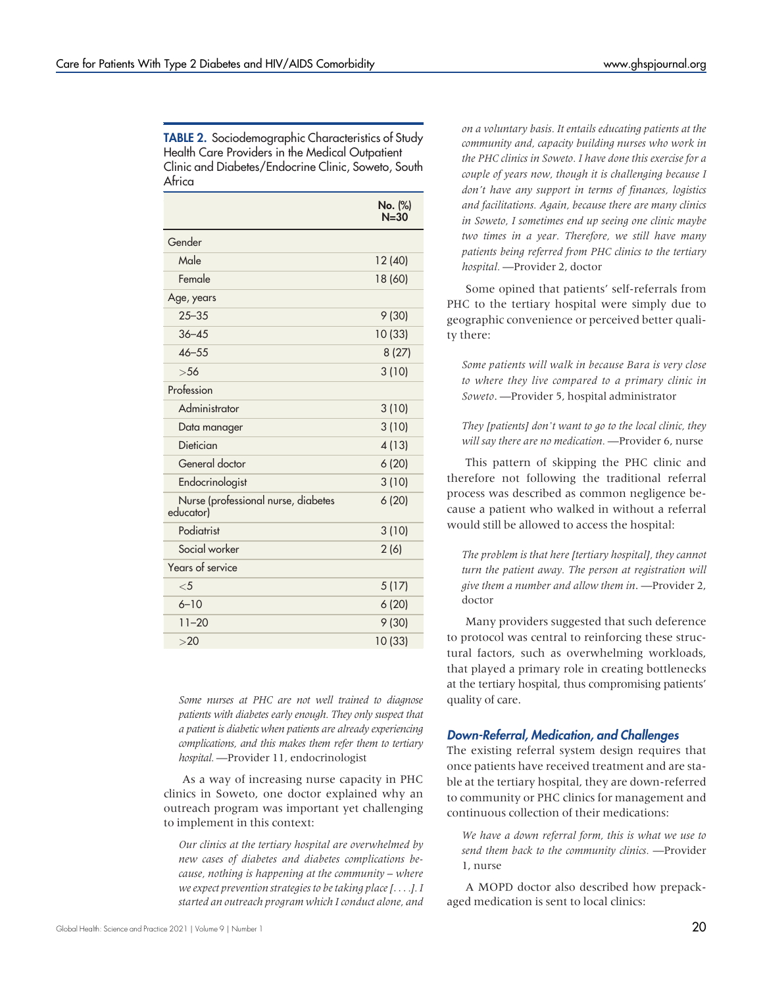<span id="page-5-0"></span>TABLE 2. Sociodemographic Characteristics of Study Health Care Providers in the Medical Outpatient Clinic and Diabetes/Endocrine Clinic, Soweto, South Africa

|                                                  | No. (%)<br>$N = 30$ |
|--------------------------------------------------|---------------------|
| Gender                                           |                     |
| Male                                             | 12 (40)             |
| Female                                           | 18 (60)             |
| Age, years                                       |                     |
| $25 - 35$                                        | 9(30)               |
| $36 - 45$                                        | 10 (33)             |
| $46 - 55$                                        | 8(27)               |
| >56                                              | 3(10)               |
| Profession                                       |                     |
| Administrator                                    | 3(10)               |
| Data manager                                     | 3(10)               |
| Dietician                                        | 4(13)               |
| General doctor                                   | 6(20)               |
| Endocrinologist                                  | 3(10)               |
| Nurse (professional nurse, diabetes<br>educator) | 6(20)               |
| Podiatrist                                       | 3(10)               |
| Social worker                                    | 2(6)                |
| Years of service                                 |                     |
| $<$ 5                                            | 5(17)               |
| $6 - 10$                                         | 6(20)               |
| $11 - 20$                                        | 9(30)               |
| >20                                              | 10 (33)             |

Some nurses at PHC are not well trained to diagnose patients with diabetes early enough. They only suspect that a patient is diabetic when patients are already experiencing complications, and this makes them refer them to tertiary hospital. —Provider 11, endocrinologist

As a way of increasing nurse capacity in PHC clinics in Soweto, one doctor explained why an outreach program was important yet challenging to implement in this context:

Our clinics at the tertiary hospital are overwhelmed by new cases of diabetes and diabetes complications because, nothing is happening at the community – where we expect prevention strategies to be taking place [....]. I started an outreach program which I conduct alone, and on a voluntary basis. It entails educating patients at the community and, capacity building nurses who work in the PHC clinics in Soweto. I have done this exercise for a couple of years now, though it is challenging because I don't have any support in terms of finances, logistics and facilitations. Again, because there are many clinics in Soweto, I sometimes end up seeing one clinic maybe two times in a year. Therefore, we still have many patients being referred from PHC clinics to the tertiary hospital. —Provider 2, doctor

Some opined that patients' self-referrals from PHC to the tertiary hospital were simply due to geographic convenience or perceived better quality there:

Some patients will walk in because Bara is very close to where they live compared to a primary clinic in Soweto. —Provider 5, hospital administrator

They [patients] don't want to go to the local clinic, they will say there are no medication. - Provider 6, nurse

This pattern of skipping the PHC clinic and therefore not following the traditional referral process was described as common negligence because a patient who walked in without a referral would still be allowed to access the hospital:

The problem is that here [tertiary hospital], they cannot turn the patient away. The person at registration will give them a number and allow them in. —Provider 2, doctor

Many providers suggested that such deference to protocol was central to reinforcing these structural factors, such as overwhelming workloads, that played a primary role in creating bottlenecks at the tertiary hospital, thus compromising patients' quality of care.

## Down-Referral, Medication, and Challenges

The existing referral system design requires that once patients have received treatment and are stable at the tertiary hospital, they are down-referred to community or PHC clinics for management and continuous collection of their medications:

We have a down referral form, this is what we use to send them back to the community clinics. —Provider 1, nurse

A MOPD doctor also described how prepackaged medication is sent to local clinics: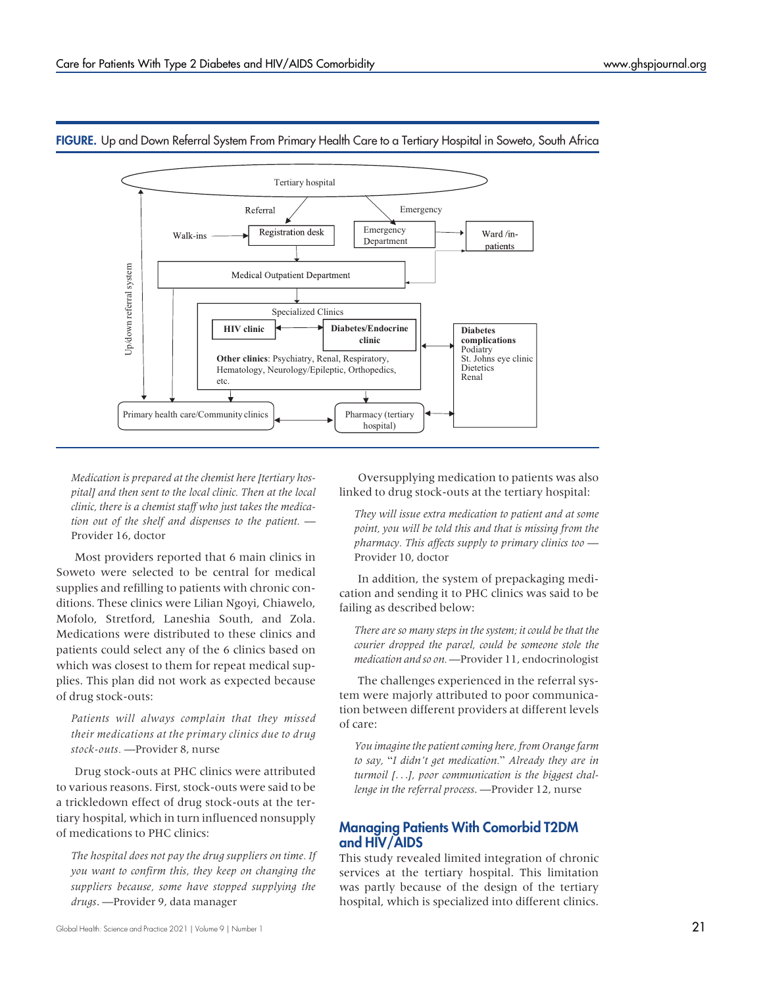

<span id="page-6-0"></span>FIGURE. Up and Down Referral System From Primary Health Care to a Tertiary Hospital in Soweto, South Africa

Medication is prepared at the chemist here [tertiary hospital] and then sent to the local clinic. Then at the local clinic, there is a chemist staff who just takes the medication out of the shelf and dispenses to the patient. — Provider 16, doctor

Most providers reported that 6 main clinics in Soweto were selected to be central for medical supplies and refilling to patients with chronic conditions. These clinics were Lilian Ngoyi, Chiawelo, Mofolo, Stretford, Laneshia South, and Zola. Medications were distributed to these clinics and patients could select any of the 6 clinics based on which was closest to them for repeat medical supplies. This plan did not work as expected because of drug stock-outs:

Patients will always complain that they missed their medications at the primary clinics due to drug stock-outs. —Provider 8, nurse

Drug stock-outs at PHC clinics were attributed to various reasons. First, stock-outs were said to be a trickledown effect of drug stock-outs at the tertiary hospital, which in turn influenced nonsupply of medications to PHC clinics:

The hospital does not pay the drug suppliers on time. If you want to confirm this, they keep on changing the suppliers because, some have stopped supplying the drugs. —Provider 9, data manager

Oversupplying medication to patients was also linked to drug stock-outs at the tertiary hospital:

They will issue extra medication to patient and at some point, you will be told this and that is missing from the pharmacy. This affects supply to primary clinics too — Provider 10, doctor

In addition, the system of prepackaging medication and sending it to PHC clinics was said to be failing as described below:

There are so many steps in the system; it could be that the courier dropped the parcel, could be someone stole the medication and so on. —Provider 11, endocrinologist

The challenges experienced in the referral system were majorly attributed to poor communication between different providers at different levels of care:

You imagine the patient coming here, from Orange farm to say, "I didn't get medication." Already they are in turmoil [...], poor communication is the biggest challenge in the referral process. —Provider 12, nurse

# Managing Patients With Comorbid T2DM and HIV/AIDS

This study revealed limited integration of chronic services at the tertiary hospital. This limitation was partly because of the design of the tertiary hospital, which is specialized into different clinics.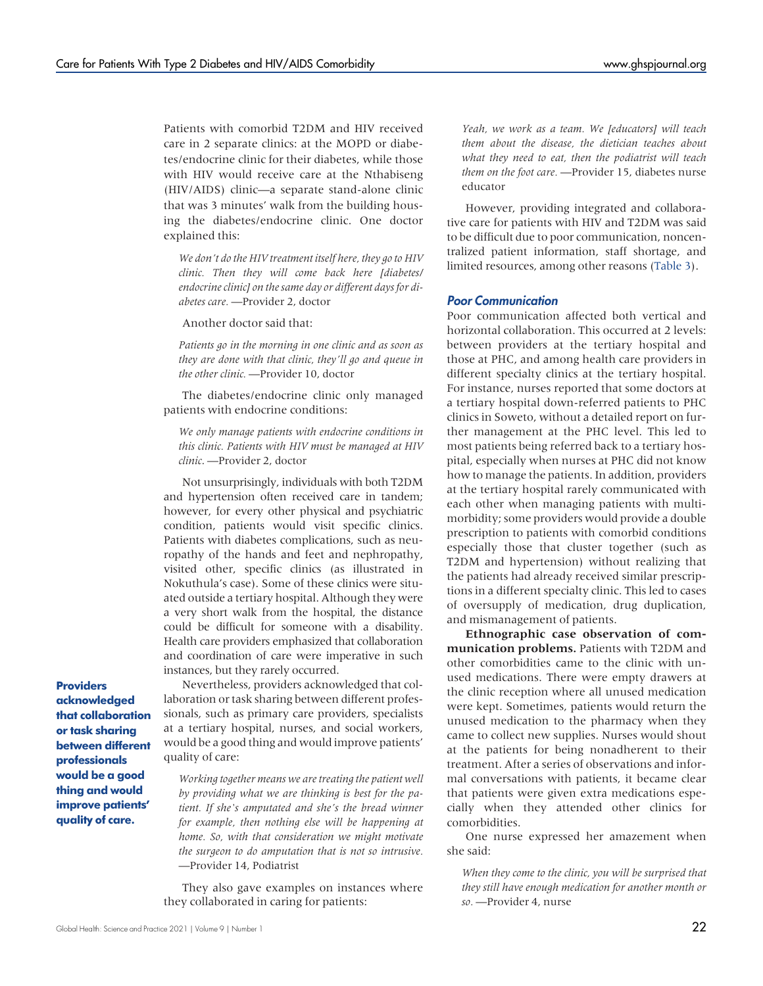Patients with comorbid T2DM and HIV received care in 2 separate clinics: at the MOPD or diabetes/endocrine clinic for their diabetes, while those with HIV would receive care at the Nthabiseng (HIV/AIDS) clinic—a separate stand-alone clinic that was 3 minutes' walk from the building housing the diabetes/endocrine clinic. One doctor explained this:

We don't do the HIV treatment itself here, they go to HIV clinic. Then they will come back here [diabetes] endocrine clinic] on the same day or different days for diabetes care. —Provider 2, doctor

Another doctor said that:

Patients go in the morning in one clinic and as soon as they are done with that clinic, they'll go and queue in the other clinic. —Provider 10, doctor

The diabetes/endocrine clinic only managed patients with endocrine conditions:

We only manage patients with endocrine conditions in this clinic. Patients with HIV must be managed at HIV clinic. —Provider 2, doctor

Not unsurprisingly, individuals with both T2DM and hypertension often received care in tandem; however, for every other physical and psychiatric condition, patients would visit specific clinics. Patients with diabetes complications, such as neuropathy of the hands and feet and nephropathy, visited other, specific clinics (as illustrated in Nokuthula's case). Some of these clinics were situated outside a tertiary hospital. Although they were a very short walk from the hospital, the distance could be difficult for someone with a disability. Health care providers emphasized that collaboration and coordination of care were imperative in such instances, but they rarely occurred.

**Providers** acknowledged that collaboration or task sharing between different professionals would be a good thing and would improve patients' quality of care.

Nevertheless, providers acknowledged that collaboration or task sharing between different professionals, such as primary care providers, specialists at a tertiary hospital, nurses, and social workers, would be a good thing and would improve patients' quality of care:

Working together means we are treating the patient well by providing what we are thinking is best for the patient. If she's amputated and she's the bread winner for example, then nothing else will be happening at home. So, with that consideration we might motivate the surgeon to do amputation that is not so intrusive. —Provider 14, Podiatrist

They also gave examples on instances where they collaborated in caring for patients:

Yeah, we work as a team. We [educators] will teach them about the disease, the dietician teaches about what they need to eat, then the podiatrist will teach them on the foot care. —Provider 15, diabetes nurse educator

However, providing integrated and collaborative care for patients with HIV and T2DM was said to be difficult due to poor communication, noncentralized patient information, staff shortage, and limited resources, among other reasons [\(Table 3\)](#page-8-0).

### Poor Communication

Poor communication affected both vertical and horizontal collaboration. This occurred at 2 levels: between providers at the tertiary hospital and those at PHC, and among health care providers in different specialty clinics at the tertiary hospital. For instance, nurses reported that some doctors at a tertiary hospital down-referred patients to PHC clinics in Soweto, without a detailed report on further management at the PHC level. This led to most patients being referred back to a tertiary hospital, especially when nurses at PHC did not know how to manage the patients. In addition, providers at the tertiary hospital rarely communicated with each other when managing patients with multimorbidity; some providers would provide a double prescription to patients with comorbid conditions especially those that cluster together (such as T2DM and hypertension) without realizing that the patients had already received similar prescriptions in a different specialty clinic. This led to cases of oversupply of medication, drug duplication, and mismanagement of patients.

Ethnographic case observation of communication problems. Patients with T2DM and other comorbidities came to the clinic with unused medications. There were empty drawers at the clinic reception where all unused medication were kept. Sometimes, patients would return the unused medication to the pharmacy when they came to collect new supplies. Nurses would shout at the patients for being nonadherent to their treatment. After a series of observations and informal conversations with patients, it became clear that patients were given extra medications especially when they attended other clinics for comorbidities.

One nurse expressed her amazement when she said:

When they come to the clinic, you will be surprised that they still have enough medication for another month or so. —Provider 4, nurse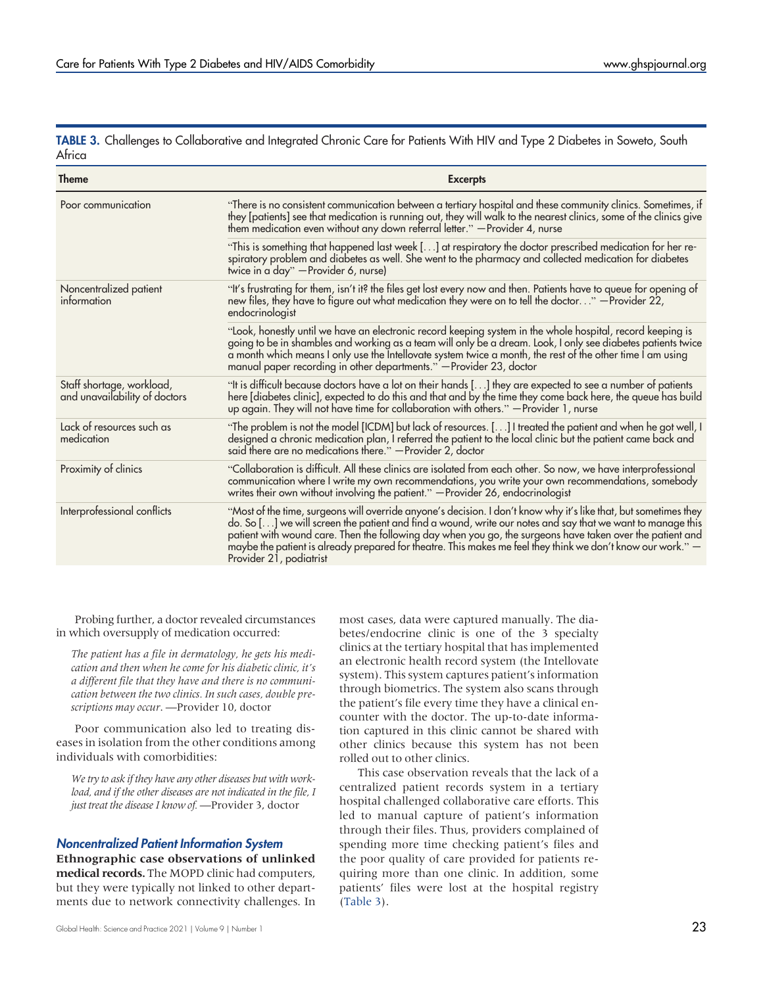<span id="page-8-0"></span>TABLE 3. Challenges to Collaborative and Integrated Chronic Care for Patients With HIV and Type 2 Diabetes in Soweto, South Africa

| <b>Theme</b>                                               | <b>Excerpts</b>                                                                                                                                                                                                                                                                                                                                                                                                                                                                       |
|------------------------------------------------------------|---------------------------------------------------------------------------------------------------------------------------------------------------------------------------------------------------------------------------------------------------------------------------------------------------------------------------------------------------------------------------------------------------------------------------------------------------------------------------------------|
| Poor communication                                         | "There is no consistent communication between a tertiary hospital and these community clinics. Sometimes, if<br>they [patients] see that medication is running out, they will walk to the nearest clinics, some of the clinics give<br>them medication even without any down referral letter." - Provider 4, nurse                                                                                                                                                                    |
|                                                            | "This is something that happened last week [] at respiratory the doctor prescribed medication for her re-<br>spiratory problem and diabetes as well. She went to the pharmacy and collected medication for diabetes<br>twice in a day" - Provider 6, nurse)                                                                                                                                                                                                                           |
| Noncentralized patient<br>information                      | "It's frustrating for them, isn't it? the files get lost every now and then. Patients have to queue for opening of<br>new files, they have to figure out what medication they were on to tell the doctor" - Provider 22,<br>endocrinologist                                                                                                                                                                                                                                           |
|                                                            | "Look, honestly until we have an electronic record keeping system in the whole hospital, record keeping is<br>going to be in shambles and working as a team will only be a dream. Look, I only see diabetes patients twice<br>a month which means I only use the Intellovate system twice a month, the rest of the other time I am using<br>manual paper recording in other departments." - Provider 23, doctor                                                                       |
| Staff shortage, workload,<br>and unavailability of doctors | "It is difficult because doctors have a lot on their hands [] they are expected to see a number of patients<br>here [diabetes clinic], expected to do this and that and by the time they come back here, the queue has build<br>up again. They will not have time for collaboration with others." - Provider 1, nurse                                                                                                                                                                 |
| Lack of resources such as<br>medication                    | "The problem is not the model [ICDM] but lack of resources. [] I treated the patient and when he got well, I<br>designed a chronic medication plan, I referred the patient to the local clinic but the patient came back and<br>said there are no medications there." - Provider 2, doctor                                                                                                                                                                                            |
| Proximity of clinics                                       | "Collaboration is difficult. All these clinics are isolated from each other. So now, we have interprofessional<br>communication where I write my own recommendations, you write your own recommendations, somebody<br>writes their own without involving the patient." - Provider 26, endocrinologist                                                                                                                                                                                 |
| Interprofessional conflicts                                | "Most of the time, surgeons will override anyone's decision. I don't know why it's like that, but sometimes they<br>do. So [] we will screen the patient and find a wound, write our notes and say that we want to manage this<br>patient with wound care. Then the following day when you go, the surgeons have taken over the patient and<br>maybe the patient is already prepared for theatre. This makes me feel they think we don't know our work." -<br>Provider 21, podiatrist |

Probing further, a doctor revealed circumstances in which oversupply of medication occurred:

The patient has a file in dermatology, he gets his medication and then when he come for his diabetic clinic, it's a different file that they have and there is no communication between the two clinics. In such cases, double prescriptions may occur. - Provider 10, doctor

Poor communication also led to treating diseases in isolation from the other conditions among individuals with comorbidities:

We try to ask if they have any other diseases but with workload, and if the other diseases are not indicated in the file, I just treat the disease I know of. - Provider 3, doctor

# Noncentralized Patient Information System

Ethnographic case observations of unlinked medical records. The MOPD clinic had computers, but they were typically not linked to other departments due to network connectivity challenges. In

Global Health: Science and Practice 2021 | Volume 9 | Number 1  $23$ 

most cases, data were captured manually. The diabetes/endocrine clinic is one of the 3 specialty clinics at the tertiary hospital that has implemented an electronic health record system (the Intellovate system). This system captures patient's information through biometrics. The system also scans through the patient's file every time they have a clinical encounter with the doctor. The up-to-date information captured in this clinic cannot be shared with other clinics because this system has not been rolled out to other clinics.

This case observation reveals that the lack of a centralized patient records system in a tertiary hospital challenged collaborative care efforts. This led to manual capture of patient's information through their files. Thus, providers complained of spending more time checking patient's files and the poor quality of care provided for patients requiring more than one clinic. In addition, some patients' files were lost at the hospital registry [\(Table 3](#page-8-0)).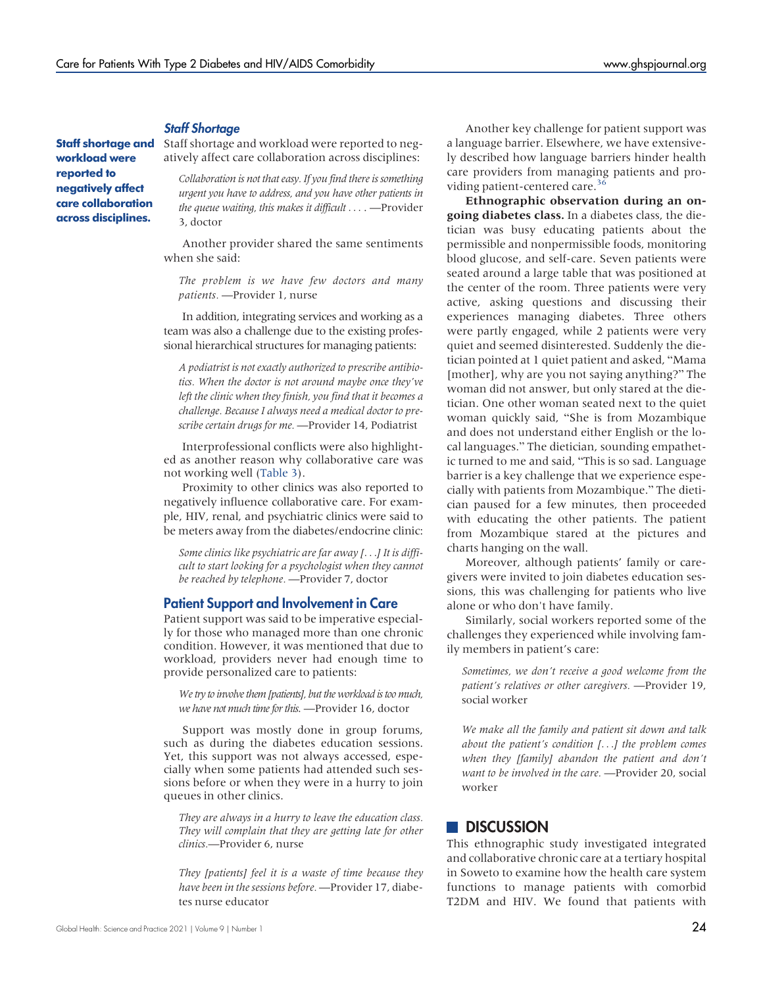#### Staff Shortage

Staff shortage and workload were reported to negatively affect care collaboration across disciplines.

Staff shortage and workload were reported to negatively affect care collaboration across disciplines:

Collaboration is not that easy. If you find there is something urgent you have to address, and you have other patients in the queue waiting, this makes it difficult  $\ldots$  -Provider 3, doctor

Another provider shared the same sentiments when she said:

The problem is we have few doctors and many patients. —Provider 1, nurse

In addition, integrating services and working as a team was also a challenge due to the existing professional hierarchical structures for managing patients:

A podiatrist is not exactly authorized to prescribe antibiotics. When the doctor is not around maybe once they've left the clinic when they finish, you find that it becomes a challenge. Because I always need a medical doctor to prescribe certain drugs for me. —Provider 14, Podiatrist

Interprofessional conflicts were also highlighted as another reason why collaborative care was not working well ([Table 3\)](#page-8-0).

Proximity to other clinics was also reported to negatively influence collaborative care. For example, HIV, renal, and psychiatric clinics were said to be meters away from the diabetes/endocrine clinic:

Some clinics like psychiatric are far away [...] It is difficult to start looking for a psychologist when they cannot be reached by telephone. —Provider 7, doctor

#### Patient Support and Involvement in Care

Patient support was said to be imperative especially for those who managed more than one chronic condition. However, it was mentioned that due to workload, providers never had enough time to provide personalized care to patients:

We try to involve them [patients], but the workload is too much, we have not much time for this. - Provider 16, doctor

Support was mostly done in group forums, such as during the diabetes education sessions. Yet, this support was not always accessed, especially when some patients had attended such sessions before or when they were in a hurry to join queues in other clinics.

They are always in a hurry to leave the education class. They will complain that they are getting late for other clinics.—Provider 6, nurse

They [patients] feel it is a waste of time because they have been in the sessions before. —Provider 17, diabetes nurse educator

Another key challenge for patient support was a language barrier. Elsewhere, we have extensively described how language barriers hinder health care providers from managing patients and pro-viding patient-centered care.<sup>[36](#page-14-19)</sup>

Ethnographic observation during an on**going diabetes class.** In a diabetes class, the dietician was busy educating patients about the permissible and nonpermissible foods, monitoring blood glucose, and self-care. Seven patients were seated around a large table that was positioned at the center of the room. Three patients were very active, asking questions and discussing their experiences managing diabetes. Three others were partly engaged, while 2 patients were very quiet and seemed disinterested. Suddenly the dietician pointed at 1 quiet patient and asked, "Mama [mother], why are you not saying anything?" The woman did not answer, but only stared at the dietician. One other woman seated next to the quiet woman quickly said, "She is from Mozambique and does not understand either English or the local languages." The dietician, sounding empathetic turned to me and said, "This is so sad. Language barrier is a key challenge that we experience especially with patients from Mozambique." The dietician paused for a few minutes, then proceeded with educating the other patients. The patient from Mozambique stared at the pictures and charts hanging on the wall.

Moreover, although patients' family or caregivers were invited to join diabetes education sessions, this was challenging for patients who live alone or who don't have family.

Similarly, social workers reported some of the challenges they experienced while involving family members in patient's care:

Sometimes, we don't receive a good welcome from the patient's relatives or other caregivers. —Provider 19, social worker

We make all the family and patient sit down and talk about the patient's condition  $[...]$  the problem comes when they [family] abandon the patient and don't want to be involved in the care. —Provider 20, social worker

# **DISCUSSION**

This ethnographic study investigated integrated and collaborative chronic care at a tertiary hospital in Soweto to examine how the health care system functions to manage patients with comorbid T2DM and HIV. We found that patients with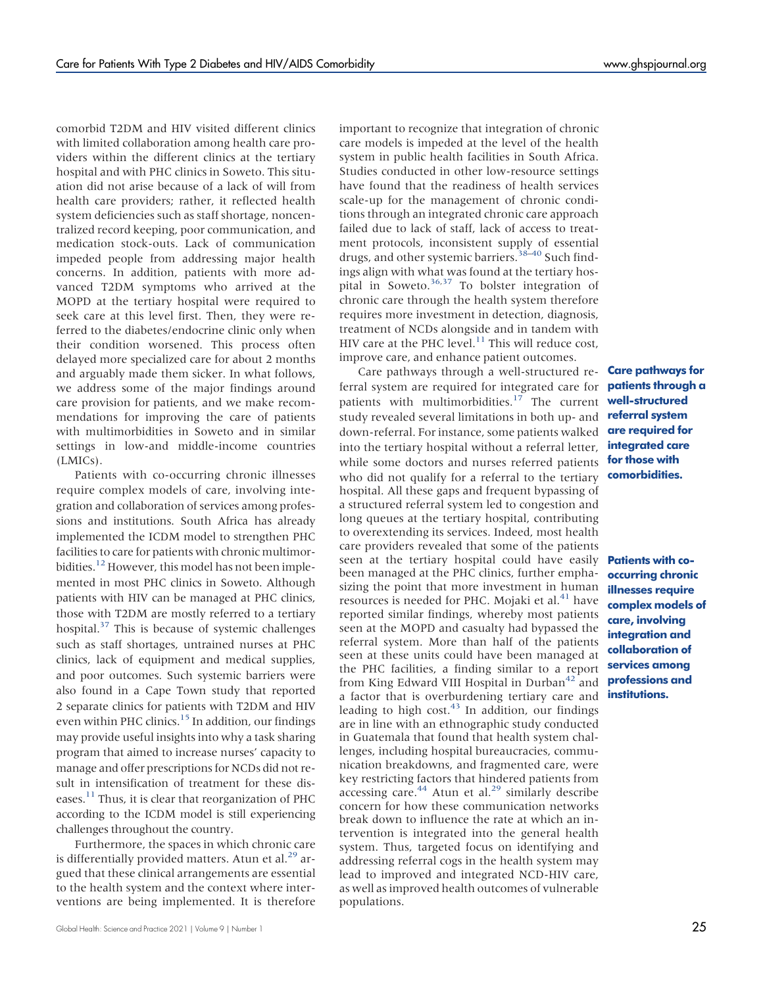comorbid T2DM and HIV visited different clinics with limited collaboration among health care providers within the different clinics at the tertiary hospital and with PHC clinics in Soweto. This situation did not arise because of a lack of will from health care providers; rather, it reflected health system deficiencies such as staff shortage, noncentralized record keeping, poor communication, and medication stock-outs. Lack of communication impeded people from addressing major health concerns. In addition, patients with more advanced T2DM symptoms who arrived at the MOPD at the tertiary hospital were required to seek care at this level first. Then, they were referred to the diabetes/endocrine clinic only when their condition worsened. This process often delayed more specialized care for about 2 months and arguably made them sicker. In what follows, we address some of the major findings around care provision for patients, and we make recommendations for improving the care of patients with multimorbidities in Soweto and in similar settings in low-and middle-income countries (LMICs).

Patients with co-occurring chronic illnesses require complex models of care, involving integration and collaboration of services among professions and institutions. South Africa has already implemented the ICDM model to strengthen PHC facilities to care for patients with chronic multimor-bidities.<sup>[12](#page-13-9)</sup> However, this model has not been implemented in most PHC clinics in Soweto. Although patients with HIV can be managed at PHC clinics, those with T2DM are mostly referred to a tertiary hospital. $37$  This is because of systemic challenges such as staff shortages, untrained nurses at PHC clinics, lack of equipment and medical supplies, and poor outcomes. Such systemic barriers were also found in a Cape Town study that reported 2 separate clinics for patients with T2DM and HIV even within PHC clinics.<sup>[15](#page-13-12)</sup> In addition, our findings may provide useful insights into why a task sharing program that aimed to increase nurses' capacity to manage and offer prescriptions for NCDs did not result in intensification of treatment for these dis-eases.<sup>[11](#page-13-8)</sup> Thus, it is clear that reorganization of PHC according to the ICDM model is still experiencing challenges throughout the country.

Furthermore, the spaces in which chronic care is differentially provided matters. Atun et al. $^{29}$  $^{29}$  $^{29}$  argued that these clinical arrangements are essential to the health system and the context where interventions are being implemented. It is therefore

important to recognize that integration of chronic care models is impeded at the level of the health system in public health facilities in South Africa. Studies conducted in other low-resource settings have found that the readiness of health services scale-up for the management of chronic conditions through an integrated chronic care approach failed due to lack of staff, lack of access to treatment protocols, inconsistent supply of essential drugs, and other systemic barriers.[38](#page-14-21)–[40](#page-14-22) Such findings align with what was found at the tertiary hospital in Soweto. $36,37$  $36,37$  To bolster integration of chronic care through the health system therefore requires more investment in detection, diagnosis, treatment of NCDs alongside and in tandem with HIV care at the PHC level. $^{11}$  $^{11}$  $^{11}$  This will reduce cost, improve care, and enhance patient outcomes.

Care pathways through a well-structured referral system are required for integrated care for patients with multimorbidities.<sup>[17](#page-14-1)</sup> The current study revealed several limitations in both up- and down-referral. For instance, some patients walked into the tertiary hospital without a referral letter, while some doctors and nurses referred patients **for those with** who did not qualify for a referral to the tertiary hospital. All these gaps and frequent bypassing of a structured referral system led to congestion and long queues at the tertiary hospital, contributing to overextending its services. Indeed, most health care providers revealed that some of the patients seen at the tertiary hospital could have easily been managed at the PHC clinics, further emphasizing the point that more investment in human resources is needed for PHC. Mojaki et al.<sup>[41](#page-14-23)</sup> have reported similar findings, whereby most patients seen at the MOPD and casualty had bypassed the referral system. More than half of the patients seen at these units could have been managed at the PHC facilities, a finding similar to a report from King Edward VIII Hospital in Durban<sup>[42](#page-14-24)</sup> and a factor that is overburdening tertiary care and leading to high cost.<sup>[43](#page-14-25)</sup> In addition, our findings are in line with an ethnographic study conducted in Guatemala that found that health system challenges, including hospital bureaucracies, communication breakdowns, and fragmented care, were key restricting factors that hindered patients from accessing care.<sup>[44](#page-14-26)</sup> Atun et al.<sup>[29](#page-14-12)</sup> similarly describe concern for how these communication networks break down to influence the rate at which an intervention is integrated into the general health system. Thus, targeted focus on identifying and addressing referral cogs in the health system may lead to improved and integrated NCD-HIV care, as well as improved health outcomes of vulnerable populations.

Care pathways for patients through a well-structured referral system are required for integrated care comorbidities.

Patients with cooccurring chronic illnesses require complex models of care, involving integration and collaboration of services among professions and institutions.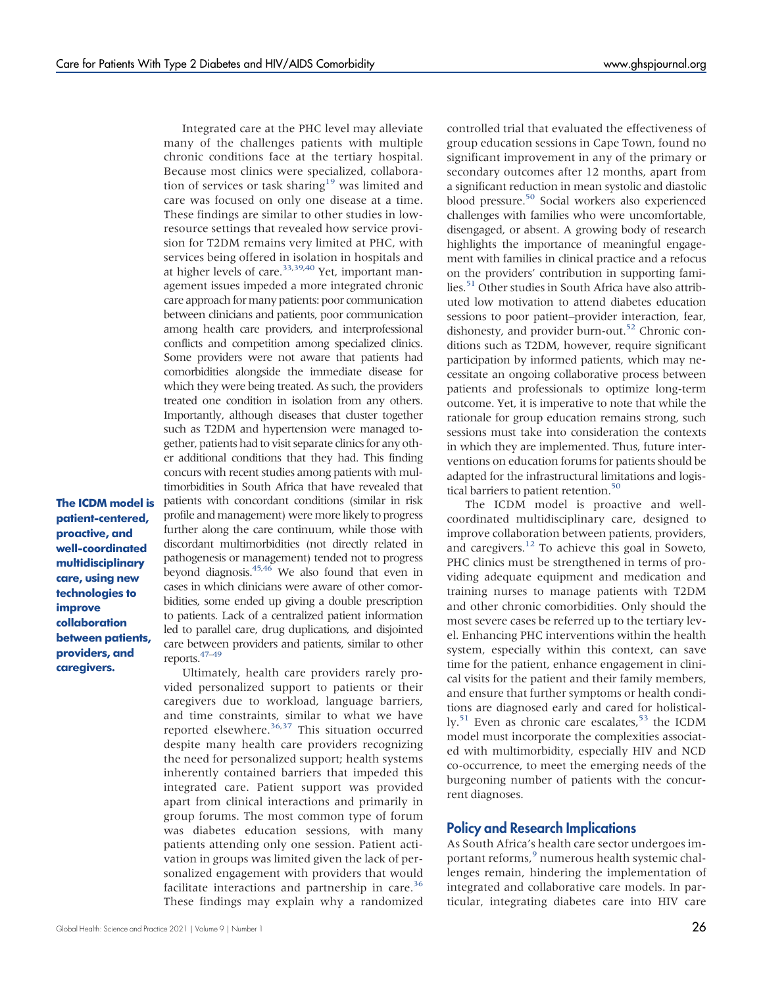many of the challenges patients with multiple chronic conditions face at the tertiary hospital. Because most clinics were specialized, collaboration of services or task sharing<sup>19</sup> was limited and care was focused on only one disease at a time. These findings are similar to other studies in lowresource settings that revealed how service provision for T2DM remains very limited at PHC, with services being offered in isolation in hospitals and at higher levels of care.<sup>[33](#page-14-16)[,39](#page-14-27)[,40](#page-14-22)</sup> Yet, important management issues impeded a more integrated chronic care approach formany patients: poor communication between clinicians and patients, poor communication among health care providers, and interprofessional conflicts and competition among specialized clinics. Some providers were not aware that patients had comorbidities alongside the immediate disease for which they were being treated. As such, the providers treated one condition in isolation from any others. Importantly, although diseases that cluster together such as T2DM and hypertension were managed together, patients had to visit separate clinics for any other additional conditions that they had. This finding concurs with recent studies among patients with multimorbidities in South Africa that have revealed that patients with concordant conditions (similar in risk profile and management) were more likely to progress further along the care continuum, while those with discordant multimorbidities (not directly related in pathogenesis or management) tended not to progress beyond diagnosis.<sup>45,[46](#page-14-29)</sup> We also found that even in cases in which clinicians were aware of other comorbidities, some ended up giving a double prescription to patients. Lack of a centralized patient information led to parallel care, drug duplications, and disjointed care between providers and patients, similar to other reports.[47](#page-14-30)–[49](#page-14-31)

Integrated care at the PHC level may alleviate

patient-centered, proactive, and well-coordinated multidisciplinary care, using new technologies to improve collaboration between patients, providers, and caregivers.

The ICDM model is

Ultimately, health care providers rarely provided personalized support to patients or their caregivers due to workload, language barriers, and time constraints, similar to what we have reported elsewhere.<sup>[36,](#page-14-19)[37](#page-14-20)</sup> This situation occurred despite many health care providers recognizing the need for personalized support; health systems inherently contained barriers that impeded this integrated care. Patient support was provided apart from clinical interactions and primarily in group forums. The most common type of forum was diabetes education sessions, with many patients attending only one session. Patient activation in groups was limited given the lack of personalized engagement with providers that would facilitate interactions and partnership in care.<sup>[36](#page-14-19)</sup> These findings may explain why a randomized

controlled trial that evaluated the effectiveness of group education sessions in Cape Town, found no significant improvement in any of the primary or secondary outcomes after 12 months, apart from a significant reduction in mean systolic and diastolic blood pressure.<sup>[50](#page-14-32)</sup> Social workers also experienced challenges with families who were uncomfortable, disengaged, or absent. A growing body of research highlights the importance of meaningful engagement with families in clinical practice and a refocus on the providers' contribution in supporting families.<sup>51</sup> Other studies in South Africa have also attributed low motivation to attend diabetes education sessions to poor patient–provider interaction, fear, dishonesty, and provider burn-out.<sup>52</sup> Chronic conditions such as T2DM, however, require significant participation by informed patients, which may necessitate an ongoing collaborative process between patients and professionals to optimize long-term outcome. Yet, it is imperative to note that while the rationale for group education remains strong, such sessions must take into consideration the contexts in which they are implemented. Thus, future interventions on education forums for patients should be adapted for the infrastructural limitations and logistical barriers to patient retention.<sup>50</sup>

The ICDM model is proactive and wellcoordinated multidisciplinary care, designed to improve collaboration between patients, providers, and caregivers.<sup>[12](#page-13-9)</sup> To achieve this goal in Soweto, PHC clinics must be strengthened in terms of providing adequate equipment and medication and training nurses to manage patients with T2DM and other chronic comorbidities. Only should the most severe cases be referred up to the tertiary level. Enhancing PHC interventions within the health system, especially within this context, can save time for the patient, enhance engagement in clinical visits for the patient and their family members, and ensure that further symptoms or health conditions are diagnosed early and cared for holistical- $\rm{lv.}^{51}$  $\rm{lv.}^{51}$  $\rm{lv.}^{51}$  Even as chronic care escalates,  $\rm{^{53}}$  $\rm{^{53}}$  $\rm{^{53}}$  the ICDM model must incorporate the complexities associated with multimorbidity, especially HIV and NCD co-occurrence, to meet the emerging needs of the burgeoning number of patients with the concurrent diagnoses.

### Policy and Research Implications

As South Africa's health care sector undergoes im-portant reforms,<sup>[9](#page-13-6)</sup> numerous health systemic challenges remain, hindering the implementation of integrated and collaborative care models. In particular, integrating diabetes care into HIV care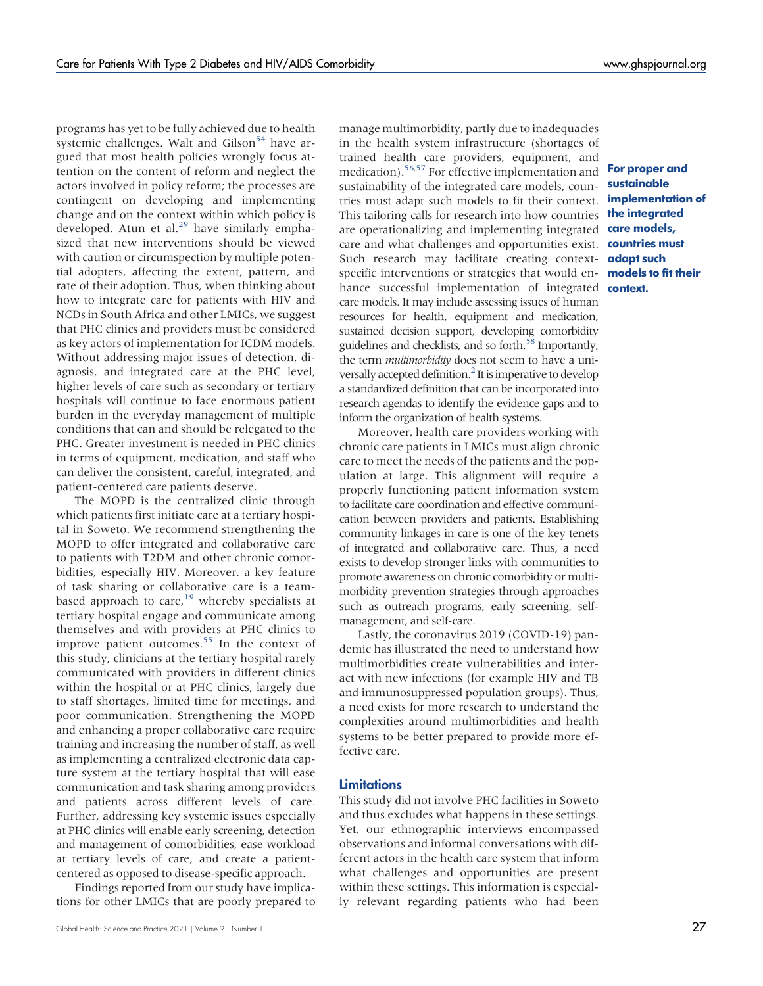programs has yet to be fully achieved due to health systemic challenges. Walt and Gilson<sup>54</sup> have argued that most health policies wrongly focus attention on the content of reform and neglect the actors involved in policy reform; the processes are contingent on developing and implementing change and on the context within which policy is developed. Atun et al.<sup>[29](#page-14-12)</sup> have similarly emphasized that new interventions should be viewed with caution or circumspection by multiple potential adopters, affecting the extent, pattern, and rate of their adoption. Thus, when thinking about how to integrate care for patients with HIV and NCDs in South Africa and other LMICs, we suggest that PHC clinics and providers must be considered as key actors of implementation for ICDM models. Without addressing major issues of detection, diagnosis, and integrated care at the PHC level, higher levels of care such as secondary or tertiary hospitals will continue to face enormous patient burden in the everyday management of multiple conditions that can and should be relegated to the PHC. Greater investment is needed in PHC clinics in terms of equipment, medication, and staff who can deliver the consistent, careful, integrated, and patient-centered care patients deserve.

The MOPD is the centralized clinic through which patients first initiate care at a tertiary hospital in Soweto. We recommend strengthening the MOPD to offer integrated and collaborative care to patients with T2DM and other chronic comorbidities, especially HIV. Moreover, a key feature of task sharing or collaborative care is a team-based approach to care,<sup>[19](#page-14-3)</sup> whereby specialists at tertiary hospital engage and communicate among themselves and with providers at PHC clinics to improve patient outcomes.<sup>55</sup> In the context of this study, clinicians at the tertiary hospital rarely communicated with providers in different clinics within the hospital or at PHC clinics, largely due to staff shortages, limited time for meetings, and poor communication. Strengthening the MOPD and enhancing a proper collaborative care require training and increasing the number of staff, as well as implementing a centralized electronic data capture system at the tertiary hospital that will ease communication and task sharing among providers and patients across different levels of care. Further, addressing key systemic issues especially at PHC clinics will enable early screening, detection and management of comorbidities, ease workload at tertiary levels of care, and create a patientcentered as opposed to disease-specific approach.

Findings reported from our study have implications for other LMICs that are poorly prepared to manage multimorbidity, partly due to inadequacies in the health system infrastructure (shortages of trained health care providers, equipment, and medication).[56](#page-15-4)[,57](#page-15-5) For effective implementation and sustainability of the integrated care models, countries must adapt such models to fit their context. This tailoring calls for research into how countries are operationalizing and implementing integrated care and what challenges and opportunities exist. Such research may facilitate creating contextspecific interventions or strategies that would enhance successful implementation of integrated care models. It may include assessing issues of human resources for health, equipment and medication, sustained decision support, developing comorbidity guidelines and checklists, and so forth.<sup>58</sup> Importantly, the term *multimorbidity* does not seem to have a universally accepted definition.<sup>2</sup> It is imperative to develop a standardized definition that can be incorporated into research agendas to identify the evidence gaps and to inform the organization of health systems.

Moreover, health care providers working with chronic care patients in LMICs must align chronic care to meet the needs of the patients and the population at large. This alignment will require a properly functioning patient information system to facilitate care coordination and effective communication between providers and patients. Establishing community linkages in care is one of the key tenets of integrated and collaborative care. Thus, a need exists to develop stronger links with communities to promote awareness on chronic comorbidity or multimorbidity prevention strategies through approaches such as outreach programs, early screening, selfmanagement, and self-care.

Lastly, the coronavirus 2019 (COVID-19) pandemic has illustrated the need to understand how multimorbidities create vulnerabilities and interact with new infections (for example HIV and TB and immunosuppressed population groups). Thus, a need exists for more research to understand the complexities around multimorbidities and health systems to be better prepared to provide more effective care.

#### Limitations

This study did not involve PHC facilities in Soweto and thus excludes what happens in these settings. Yet, our ethnographic interviews encompassed observations and informal conversations with different actors in the health care system that inform what challenges and opportunities are present within these settings. This information is especially relevant regarding patients who had been

For proper and sustainable implementation of the integrated care models, countries must adapt such models to fit their context.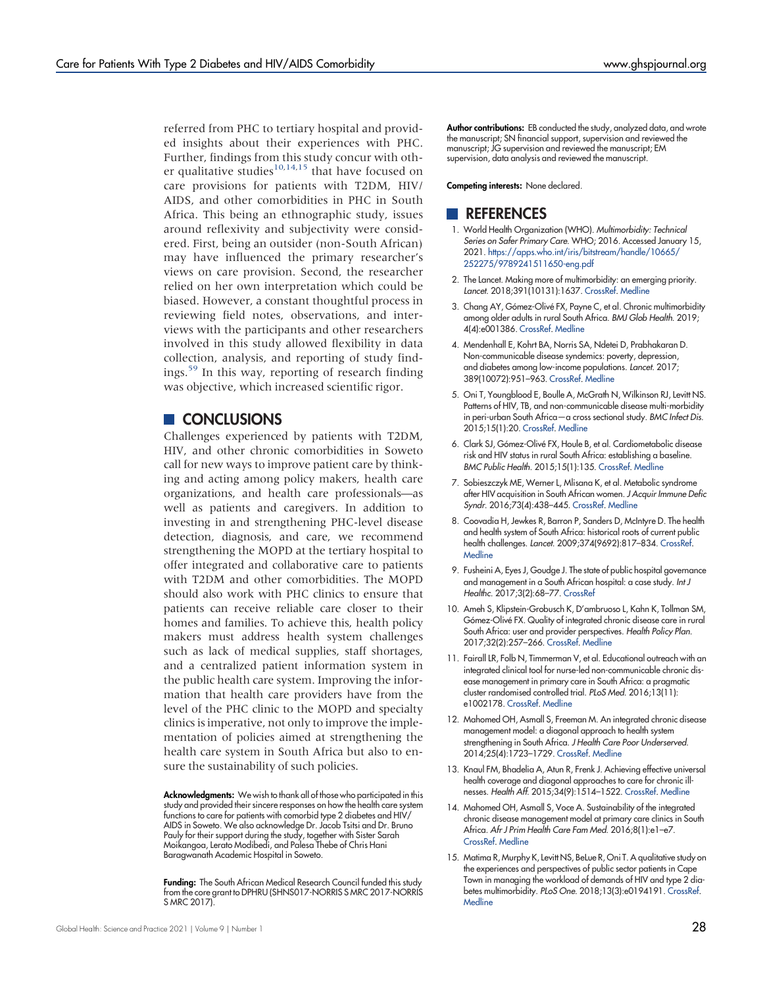referred from PHC to tertiary hospital and provided insights about their experiences with PHC. Further, findings from this study concur with other qualitative studies $10,14,15$  $10,14,15$  $10,14,15$  that have focused on care provisions for patients with T2DM, HIV/ AIDS, and other comorbidities in PHC in South Africa. This being an ethnographic study, issues around reflexivity and subjectivity were considered. First, being an outsider (non-South African) may have influenced the primary researcher's views on care provision. Second, the researcher relied on her own interpretation which could be biased. However, a constant thoughtful process in reviewing field notes, observations, and interviews with the participants and other researchers involved in this study allowed flexibility in data collection, analysis, and reporting of study findings.[59](#page-15-7) In this way, reporting of research finding was objective, which increased scientific rigor.

## **CONCLUSIONS**

Challenges experienced by patients with T2DM, HIV, and other chronic comorbidities in Soweto call for new ways to improve patient care by thinking and acting among policy makers, health care organizations, and health care professionals—as well as patients and caregivers. In addition to investing in and strengthening PHC-level disease detection, diagnosis, and care, we recommend strengthening the MOPD at the tertiary hospital to offer integrated and collaborative care to patients with T2DM and other comorbidities. The MOPD should also work with PHC clinics to ensure that patients can receive reliable care closer to their homes and families. To achieve this, health policy makers must address health system challenges such as lack of medical supplies, staff shortages, and a centralized patient information system in the public health care system. Improving the information that health care providers have from the level of the PHC clinic to the MOPD and specialty clinics is imperative, not only to improve the implementation of policies aimed at strengthening the health care system in South Africa but also to ensure the sustainability of such policies.

Acknowledgments: We wish to thank all of those who participated in this study and provided their sincere responses on how the health care system functions to care for patients with comorbid type 2 diabetes and HIV/ AIDS in Soweto. We also acknowledge Dr. Jacob Tsitsi and Dr. Bruno Pauly for their support during the study, together with Sister Sarah Moikangoa, Lerato Modibedi, and Palesa Thebe of Chris Hani Baragwanath Academic Hospital in Soweto.

Funding: The South African Medical Research Council funded this study from the core grant to DPHRU (SHNS017-NORRIS S MRC 2017-NORRIS S MRC 2017).

Author contributions: EB conducted the study, analyzed data, and wrote the manuscript; SN financial support, supervision and reviewed the manuscript; JG supervision and reviewed the manuscript; EM supervision, data analysis and reviewed the manuscript.

Competing interests: None declared.

## **REFERENCES**

- 1. World Health Organization (WHO). Multimorbidity: Technical Series on Safer Primary Care. WHO; 2016. Accessed January 15, 2021. [https://apps.who.int/iris/bitstream/handle/10665/](https://apps.who.int/iris/bitstream/handle/10665/252275/9789241511650-eng.pdf) [252275/9789241511650-eng.pdf](https://apps.who.int/iris/bitstream/handle/10665/252275/9789241511650-eng.pdf)
- <span id="page-13-0"></span>2. The Lancet. Making more of multimorbidity: an emerging priority. Lancet. 2018;391(10131):1637. [CrossRef](https://doi.org/10.1016/S0140-6736(18)30941-3). [Medline](http://www.ncbi.nlm.nih.gov/pubmed/29726322)
- <span id="page-13-1"></span>3. Chang AY, Gómez-Olivé FX, Payne C, et al. Chronic multimorbidity among older adults in rural South Africa. BMJ Glob Health. 2019; 4(4):e001386. [CrossRef](https://doi.org/10.1136/bmjgh-2018-001386). [Medline](http://www.ncbi.nlm.nih.gov/pubmed/31423345)
- <span id="page-13-13"></span>4. Mendenhall E, Kohrt BA, Norris SA, Ndetei D, Prabhakaran D. Non-communicable disease syndemics: poverty, depression, and diabetes among low-income populations. Lancet. 2017; 389(10072):951–963. [CrossRef](https://doi.org/10.1016/S0140-6736(17)30402-6). [Medline](http://www.ncbi.nlm.nih.gov/pubmed/28271846)
- <span id="page-13-2"></span>5. Oni T, Youngblood E, Boulle A, McGrath N, Wilkinson RJ, Levitt NS. Patterns of HIV, TB, and non-communicable disease multi-morbidity in peri-urban South Africa—a cross sectional study. BMC Infect Dis. 2015;15(1):20. [CrossRef.](https://doi.org/10.1186/s12879-015-0750-1) [Medline](http://www.ncbi.nlm.nih.gov/pubmed/25595711)
- <span id="page-13-3"></span>6. Clark SJ, Gómez-Olivé FX, Houle B, et al. Cardiometabolic disease risk and HIV status in rural South Africa: establishing a baseline. BMC Public Health. 2015;15(1):135. [CrossRef.](https://doi.org/10.1186/s12889-015-1467-1) [Medline](http://www.ncbi.nlm.nih.gov/pubmed/25885455)
- <span id="page-13-4"></span>7. Sobieszczyk ME, Werner L, Mlisana K, et al. Metabolic syndrome after HIV acquisition in South African women. J Acquir Immune Defic Syndr. 2016;73(4):438–445. [CrossRef.](https://doi.org/10.1097/QAI.0000000000001123) [Medline](http://www.ncbi.nlm.nih.gov/pubmed/27391387)
- <span id="page-13-5"></span>8. Coovadia H, Jewkes R, Barron P, Sanders D, McIntyre D. The health and health system of South Africa: historical roots of current public health challenges. Lancet. 2009;374(9692):817–834. [CrossRef](https://doi.org/10.1016/S0140-6736(09)60951-X). **[Medline](http://www.ncbi.nlm.nih.gov/pubmed/19709728)**
- <span id="page-13-6"></span>9. Fusheini A, Eyes J, Goudge J. The state of public hospital governance and management in a South African hospital: a case study. Int J Healthc. 2017;3(2):68–77. [CrossRef](https://doi.org/10.5430/ijh.v3n2p68)
- <span id="page-13-7"></span>10. Ameh S, Klipstein-Grobusch K, D'ambruoso L, Kahn K, Tollman SM, Gómez-Olivé FX. Quality of integrated chronic disease care in rural South Africa: user and provider perspectives. Health Policy Plan. 2017;32(2):257–266. [CrossRef](https://doi.org/10.1093/heapol/czw118). [Medline](http://www.ncbi.nlm.nih.gov/pubmed/28207046)
- <span id="page-13-8"></span>11. Fairall LR, Folb N, Timmerman V, et al. Educational outreach with an integrated clinical tool for nurse-led non-communicable chronic disease management in primary care in South Africa: a pragmatic cluster randomised controlled trial. PLoS Med. 2016;13(11): e1002178. [CrossRef](https://doi.org/10.1371/journal.pmed.1002178). [Medline](http://www.ncbi.nlm.nih.gov/pubmed/27875542)
- <span id="page-13-9"></span>12. Mahomed OH, Asmall S, Freeman M. An integrated chronic disease management model: a diagonal approach to health system strengthening in South Africa. J Health Care Poor Underserved. 2014;25(4):1723–1729. [CrossRef](https://doi.org/10.1353/hpu.2014.0176). [Medline](http://www.ncbi.nlm.nih.gov/pubmed/25418238)
- <span id="page-13-10"></span>13. Knaul FM, Bhadelia A, Atun R, Frenk J. Achieving effective universal health coverage and diagonal approaches to care for chronic illnesses. Health Aff. 2015;34(9):1514–1522. [CrossRef.](https://doi.org/10.1377/hlthaff.2015.0514) [Medline](http://www.ncbi.nlm.nih.gov/pubmed/26355053)
- <span id="page-13-11"></span>14. Mahomed OH, Asmall S, Voce A. Sustainability of the integrated chronic disease management model at primary care clinics in South Africa. Afr J Prim Health Care Fam Med. 2016;8(1):e1–e7. [CrossRef](https://doi.org/10.4102/phcfm.v8i1.1248). [Medline](http://www.ncbi.nlm.nih.gov/pubmed/28155314)
- <span id="page-13-12"></span>15. Matima R, Murphy K, Levitt NS, BeLue R, Oni T. A qualitative study on the experiences and perspectives of public sector patients in Cape Town in managing the workload of demands of HIV and type 2 diabetes multimorbidity. PLoS One. 2018;13(3):e0194191. [CrossRef](https://doi.org/10.1371/journal.pone.0194191). **[Medline](http://www.ncbi.nlm.nih.gov/pubmed/29538415)**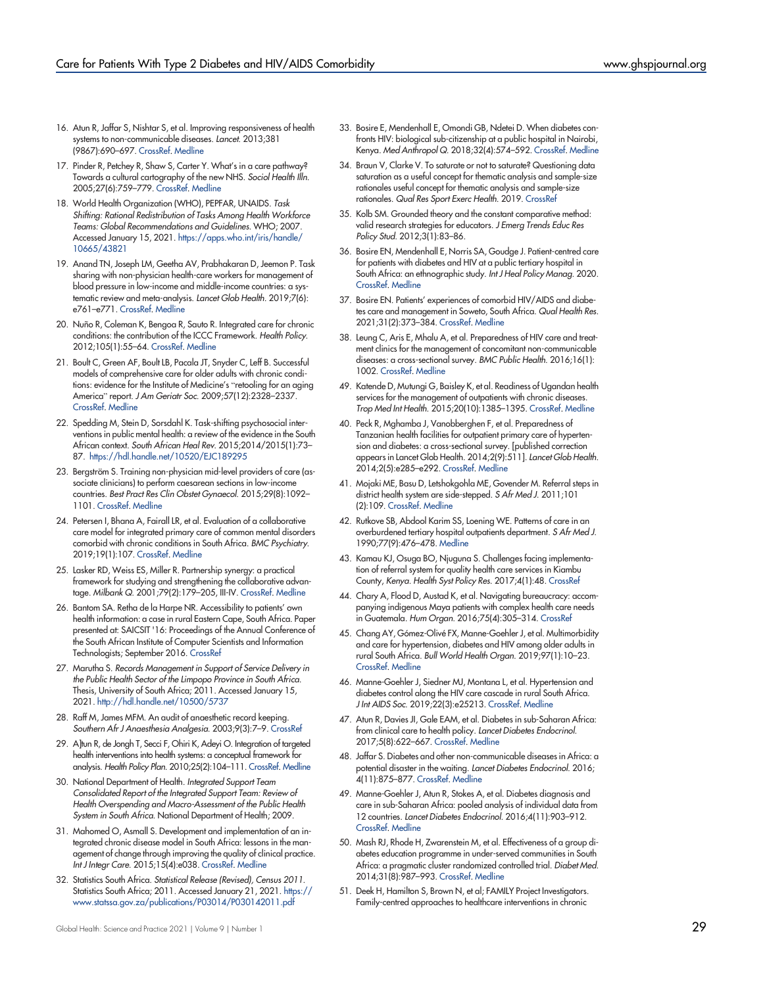- <span id="page-14-0"></span>16. Atun R, Jaffar S, Nishtar S, et al. Improving responsiveness of health systems to non-communicable diseases. Lancet. 2013;381 (9867):690–697. [CrossRef.](https://doi.org/10.1016/S0140-6736(13)60063-X) [Medline](http://www.ncbi.nlm.nih.gov/pubmed/23410609)
- <span id="page-14-1"></span>17. Pinder R, Petchey R, Shaw S, Carter Y. What's in a care pathway? Towards a cultural cartography of the new NHS. Sociol Health Illn. 2005;27(6):759–779. [CrossRef](https://doi.org/10.1111/j.1467-9566.2005.00473.x). [Medline](http://www.ncbi.nlm.nih.gov/pubmed/16283898)
- <span id="page-14-2"></span>18. World Health Organization (WHO), PEPFAR, UNAIDS. Task Shifting: Rational Redistribution of Tasks Among Health Workforce Teams: Global Recommendations and Guidelines. WHO; 2007. Accessed January 15, 2021. [https://apps.who.int/iris/handle/](https://apps.who.int/iris/handle/10665/43821) [10665/43821](https://apps.who.int/iris/handle/10665/43821)
- <span id="page-14-3"></span>19. Anand TN, Joseph LM, Geetha AV, Prabhakaran D, Jeemon P. Task sharing with non-physician health-care workers for management of blood pressure in low-income and middle-income countries: a systematic review and meta-analysis. Lancet Glob Health. 2019;7(6): e761–e771. [CrossRef](https://doi.org/10.1016/S2214-109X(19)30077-4). [Medline](http://www.ncbi.nlm.nih.gov/pubmed/31097278)
- <span id="page-14-4"></span>20. Nuño R, Coleman K, Bengoa R, Sauto R. Integrated care for chronic conditions: the contribution of the ICCC Framework. Health Policy. 2012;105(1):55–64. [CrossRef](https://doi.org/10.1016/j.healthpol.2011.10.006). [Medline](http://www.ncbi.nlm.nih.gov/pubmed/22071454)
- <span id="page-14-5"></span>21. Boult C, Green AF, Boult LB, Pacala JT, Snyder C, Leff B. Successful models of comprehensive care for older adults with chronic conditions: evidence for the Institute of Medicine's "retooling for an aging America" report. J Am Geriatr Soc. 2009;57(12):2328–2337. [CrossRef.](https://doi.org/10.1111/j.1532-5415.2009.02571.x) [Medline](http://www.ncbi.nlm.nih.gov/pubmed/20121991)
- <span id="page-14-6"></span>22. Spedding M, Stein D, Sorsdahl K. Task-shifting psychosocial interventions in public mental health: a review of the evidence in the South African context. South African Heal Rev. 2015;2014/2015(1):73– 87. <https://hdl.handle.net/10520/EJC189295>
- <span id="page-14-7"></span>23. Bergström S. Training non-physician mid-level providers of care (associate clinicians) to perform caesarean sections in low-income countries. Best Pract Res Clin Obstet Gynaecol. 2015;29(8):1092– 1101. [CrossRef](https://doi.org/10.1016/j.bpobgyn.2015.03.016). [Medline](http://www.ncbi.nlm.nih.gov/pubmed/25900128)
- <span id="page-14-8"></span>24. Petersen I, Bhana A, Fairall LR, et al. Evaluation of a collaborative care model for integrated primary care of common mental disorders comorbid with chronic conditions in South Africa. BMC Psychiatry. 2019;19(1):107. [CrossRef](https://doi.org/10.1186/s12888-019-2081-z). [Medline](http://www.ncbi.nlm.nih.gov/pubmed/30943947)
- <span id="page-14-9"></span>25. Lasker RD, Weiss ES, Miller R. Partnership synergy: a practical framework for studying and strengthening the collaborative advantage. Milbank Q. 2001;79(2):179–205, III-IV. [CrossRef](https://doi.org/10.1111/1468-0009.00203). [Medline](http://www.ncbi.nlm.nih.gov/pubmed/11439464)
- <span id="page-14-10"></span>26. Bantom SA. Retha de la Harpe NR. Accessibility to patients' own health information: a case in rural Eastern Cape, South Africa. Paper presented at: SAICSIT '16: Proceedings of the Annual Conference of the South African Institute of Computer Scientists and Information Technologists; September 2016. [CrossRef](https://doi.org/10.1145/2987491.2987505)
- 27. Marutha S. Records Management in Support of Service Delivery in the Public Health Sector of the Limpopo Province in South Africa. Thesis, University of South Africa; 2011. Accessed January 15, 2021. <http://hdl.handle.net/10500/5737>
- <span id="page-14-11"></span>28. Raff M, James MFM. An audit of anaesthetic record keeping. Southern Afr J Anaesthesia Analgesia. 2003;9(3):7–9. [CrossRef](https://doi.org/10.1080/22201173.2003.10873005)
- <span id="page-14-12"></span>29. A]tun R, de Jongh T, Secci F, Ohiri K, Adeyi O. Integration of targeted health interventions into health systems: a conceptual framework for analysis. Health Policy Plan. 2010;25(2):104–111. [CrossRef.](https://doi.org/10.1093/heapol/czp055) [Medline](http://www.ncbi.nlm.nih.gov/pubmed/19917651)
- <span id="page-14-13"></span>30. National Department of Health. Integrated Support Team Consolidated Report of the Integrated Support Team: Review of Health Overspending and Macro-Assessment of the Public Health System in South Africa. National Department of Health; 2009.
- <span id="page-14-14"></span>31. Mahomed O, Asmall S. Development and implementation of an integrated chronic disease model in South Africa: lessons in the management of change through improving the quality of clinical practice. Int J Integr Care. 2015;15(4):e038. [CrossRef](https://doi.org/10.5334/ijic.1454). [Medline](http://www.ncbi.nlm.nih.gov/pubmed/26528101)
- <span id="page-14-15"></span>32. Statistics South Africa. Statistical Release (Revised), Census 2011. Statistics South Africa; 2011. Accessed January 21, 2021. [https://](https://www.statssa.gov.za/publications/P03014/P030142011.pdf) [www.statssa.gov.za/publications/P03014/P030142011.pdf](https://www.statssa.gov.za/publications/P03014/P030142011.pdf)
- <span id="page-14-16"></span>33. Bosire E, Mendenhall E, Omondi GB, Ndetei D. When diabetes confronts HIV: biological sub-citizenship at a public hospital in Nairobi, Kenya. Med Anthropol Q. 2018;32(4):574–592. [CrossRef.](https://doi.org/10.1111/maq.12476) [Medline](http://www.ncbi.nlm.nih.gov/pubmed/30117196)
- <span id="page-14-17"></span>34. Braun V, Clarke V. To saturate or not to saturate? Questioning data saturation as a useful concept for thematic analysis and sample-size rationales useful concept for thematic analysis and sample-size rationales. Qual Res Sport Exerc Health. 2019. [CrossRef](https://doi.org/10.1080/2159676X.2019.1704846)
- <span id="page-14-18"></span>35. Kolb SM. Grounded theory and the constant comparative method: valid research strategies for educators. J Emerg Trends Educ Res Policy Stud. 2012;3(1):83–86.
- <span id="page-14-19"></span>36. Bosire EN, Mendenhall E, Norris SA, Goudge J. Patient-centred care for patients with diabetes and HIV at a public tertiary hospital in South Africa: an ethnographic study. Int J Heal Policy Manag. 2020. [CrossRef.](https://doi.org/10.34172/ijhpm.2020.65) [Medline](http://www.ncbi.nlm.nih.gov/pubmed/32610758)
- <span id="page-14-20"></span>37. Bosire EN. Patients' experiences of comorbid HIV/AIDS and diabetes care and management in Soweto, South Africa. Qual Health Res. 2021;31(2):373–384. [CrossRef.](https://doi.org/10.1177/1049732320967917) [Medline](http://www.ncbi.nlm.nih.gov/pubmed/33150848)
- <span id="page-14-21"></span>38. Leung C, Aris E, Mhalu A, et al. Preparedness of HIV care and treatment clinics for the management of concomitant non-communicable diseases: a cross-sectional survey. BMC Public Health. 2016;16(1): 1002. [CrossRef](https://doi.org/10.1186/s12889-016-3661-1). [Medline](http://www.ncbi.nlm.nih.gov/pubmed/27655406)
- <span id="page-14-27"></span>49. Katende D, Mutungi G, Baisley K, et al. Readiness of Ugandan health services for the management of outpatients with chronic diseases. Trop Med Int Health. 2015;20(10):1385–1395. [CrossRef](https://doi.org/10.1111/tmi.12560). [Medline](http://www.ncbi.nlm.nih.gov/pubmed/26095069)
- <span id="page-14-22"></span>40. Peck R, Mghamba J, Vanobberghen F, et al. Preparedness of Tanzanian health facilities for outpatient primary care of hypertension and diabetes: a cross-sectional survey. [published correction appears in Lancet Glob Health. 2014;2(9):511]. Lancet Glob Health. 2014;2(5):e285–e292. [CrossRef.](https://doi.org/10.1016/S2214-109X(14)70033-6) [Medline](http://www.ncbi.nlm.nih.gov/pubmed/24818084)
- <span id="page-14-23"></span>41. Mojaki ME, Basu D, Letshokgohla ME, Govender M. Referral steps in district health system are side-stepped. S Afr Med J. 2011;101 (2):109. [CrossRef](https://doi.org/10.7196/SAMJ.4385). [Medline](http://www.ncbi.nlm.nih.gov/pubmed/21678735)
- <span id="page-14-24"></span>42. Rutkove SB, Abdool Karim SS, Loening WE. Patterns of care in an overburdened tertiary hospital outpatients department. S Afr Med J. 1990;77(9):476–478. [Medline](http://www.ncbi.nlm.nih.gov/pubmed/2339314)
- <span id="page-14-25"></span>43. Kamau KJ, Osuga BO, Njuguna S. Challenges facing implementation of referral system for quality health care services in Kiambu County, Kenya. Health Syst Policy Res. 2017;4(1):48. [CrossRef](https://doi.org/10.21767/2254-9137.100067)
- <span id="page-14-26"></span>44. Chary A, Flood D, Austad K, et al. Navigating bureaucracy: accompanying indigenous Maya patients with complex health care needs in Guatemala. Hum Organ. 2016;75(4):305–314. [CrossRef](https://doi.org/10.17730/1938-3525-75.4.305)
- <span id="page-14-28"></span>45. Chang AY, Gómez-Olivé FX, Manne-Goehler J, et al. Multimorbidity and care for hypertension, diabetes and HIV among older adults in rural South Africa. Bull World Health Organ. 2019;97(1):10–23. [CrossRef.](https://doi.org/10.2471/BLT.18.217000) [Medline](http://www.ncbi.nlm.nih.gov/pubmed/30618461)
- <span id="page-14-29"></span>46. Manne-Goehler J, Siedner MJ, Montana L, et al. Hypertension and diabetes control along the HIV care cascade in rural South Africa. J Int AIDS Soc. 2019;22(3):e25213. [CrossRef.](https://doi.org/10.1002/jia2.25213) [Medline](http://www.ncbi.nlm.nih.gov/pubmed/30916897)
- <span id="page-14-30"></span>47. Atun R, Davies JI, Gale EAM, et al. Diabetes in sub-Saharan Africa: from clinical care to health policy. Lancet Diabetes Endocrinol. 2017;5(8):622–667. [CrossRef.](https://doi.org/10.1016/S2213-8587(17)30181-X) [Medline](http://www.ncbi.nlm.nih.gov/pubmed/28688818)
- 48. Jaffar S. Diabetes and other non-communicable diseases in Africa: a potential disaster in the waiting. Lancet Diabetes Endocrinol. 2016; 4(11):875–877. [CrossRef.](https://doi.org/10.1016/S2213-8587(16)30216-9) [Medline](http://www.ncbi.nlm.nih.gov/pubmed/27727122)
- <span id="page-14-31"></span>49. Manne-Goehler J, Atun R, Stokes A, et al. Diabetes diagnosis and care in sub-Saharan Africa: pooled analysis of individual data from 12 countries. Lancet Diabetes Endocrinol. 2016;4(11):903–912. [CrossRef.](https://doi.org/10.1016/S2213-8587(16)30181-4) [Medline](http://www.ncbi.nlm.nih.gov/pubmed/27727123)
- <span id="page-14-32"></span>50. Mash RJ, Rhode H, Zwarenstein M, et al. Effectiveness of a group diabetes education programme in under-served communities in South Africa: a pragmatic cluster randomized controlled trial. Diabet Med. 2014;31(8):987–993. [CrossRef.](https://doi.org/10.1111/dme.12475) [Medline](http://www.ncbi.nlm.nih.gov/pubmed/24766179)
- <span id="page-14-33"></span>51. Deek H, Hamilton S, Brown N, et al; FAMILY Project Investigators. Family-centred approaches to healthcare interventions in chronic